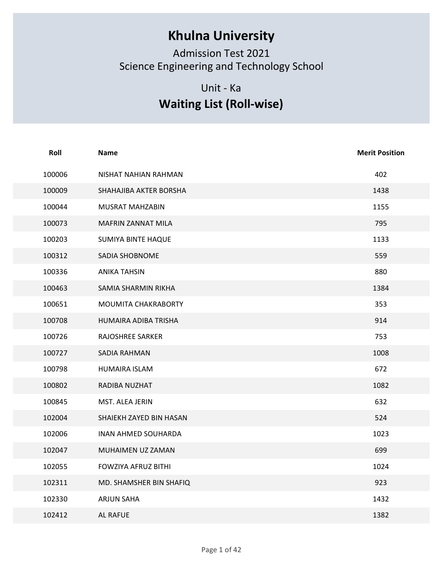## Khulna University

## Unit - Ka Waiting List (Roll-wise)

|        | <b>Khulna University</b><br><b>Admission Test 2021</b><br>Science Engineering and Technology School<br>Unit - Ka<br><b>Waiting List (Roll-wise)</b> |                       |
|--------|-----------------------------------------------------------------------------------------------------------------------------------------------------|-----------------------|
| Roll   | <b>Name</b>                                                                                                                                         | <b>Merit Position</b> |
| 100006 | NISHAT NAHIAN RAHMAN                                                                                                                                | 402                   |
| 100009 | SHAHAJIBA AKTER BORSHA                                                                                                                              | 1438                  |
| 100044 | MUSRAT MAHZABIN                                                                                                                                     | 1155                  |
| 100073 | MAFRIN ZANNAT MILA                                                                                                                                  | 795                   |
| 100203 | <b>SUMIYA BINTE HAQUE</b>                                                                                                                           | 1133                  |
| 100312 | SADIA SHOBNOME                                                                                                                                      | 559                   |
| 100336 | <b>ANIKA TAHSIN</b>                                                                                                                                 | 880                   |
| 100463 | SAMIA SHARMIN RIKHA                                                                                                                                 | 1384                  |
| 100651 | MOUMITA CHAKRABORTY                                                                                                                                 | 353                   |
| 100708 | HUMAIRA ADIBA TRISHA                                                                                                                                | 914                   |
| 100726 | RAJOSHREE SARKER                                                                                                                                    | 753                   |
| 100727 | SADIA RAHMAN                                                                                                                                        | 1008                  |
| 100798 | HUMAIRA ISLAM                                                                                                                                       | 672                   |
| 100802 | RADIBA NUZHAT                                                                                                                                       | 1082                  |
| 100845 | MST. ALEA JERIN                                                                                                                                     | 632                   |
| 102004 | SHAIEKH ZAYED BIN HASAN                                                                                                                             | 524                   |
| 102006 | INAN AHMED SOUHARDA                                                                                                                                 | 1023                  |
| 102047 | MUHAIMEN UZ ZAMAN                                                                                                                                   | 699                   |
| 102055 | FOWZIYA AFRUZ BITHI                                                                                                                                 | 1024                  |
| 102311 | MD. SHAMSHER BIN SHAFIQ                                                                                                                             | 923                   |
| 102330 | <b>ARJUN SAHA</b>                                                                                                                                   | 1432                  |
| 102412 | AL RAFUE                                                                                                                                            | 1382                  |
|        | Page 1 of 42                                                                                                                                        |                       |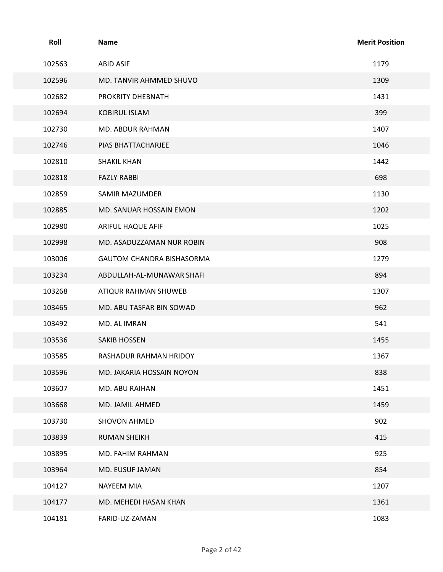| Roll   | <b>Name</b>               | <b>Merit Position</b> |
|--------|---------------------------|-----------------------|
| 102563 | <b>ABID ASIF</b>          | 1179                  |
| 102596 | MD. TANVIR AHMMED SHUVO   | 1309                  |
| 102682 | PROKRITY DHEBNATH         | 1431                  |
| 102694 | <b>KOBIRUL ISLAM</b>      | 399                   |
| 102730 | MD. ABDUR RAHMAN          | 1407                  |
| 102746 | PIAS BHATTACHARJEE        | 1046                  |
| 102810 | <b>SHAKIL KHAN</b>        | 1442                  |
| 102818 | <b>FAZLY RABBI</b>        | 698                   |
| 102859 | SAMIR MAZUMDER            | 1130                  |
| 102885 | MD. SANUAR HOSSAIN EMON   | 1202                  |
| 102980 | ARIFUL HAQUE AFIF         | 1025                  |
| 102998 | MD. ASADUZZAMAN NUR ROBIN | 908                   |
| 103006 | GAUTOM CHANDRA BISHASORMA | 1279                  |
| 103234 | ABDULLAH-AL-MUNAWAR SHAFI | 894                   |
| 103268 | ATIQUR RAHMAN SHUWEB      | 1307                  |
| 103465 | MD. ABU TASFAR BIN SOWAD  | 962                   |
| 103492 | MD. AL IMRAN              | 541                   |
| 103536 | <b>SAKIB HOSSEN</b>       | 1455                  |
| 103585 | RASHADUR RAHMAN HRIDOY    | 1367                  |
| 103596 | MD. JAKARIA HOSSAIN NOYON | 838                   |
| 103607 | MD. ABU RAIHAN            | 1451                  |
| 103668 | MD. JAMIL AHMED           | 1459                  |
| 103730 | SHOVON AHMED              | 902                   |
| 103839 | <b>RUMAN SHEIKH</b>       | 415                   |
| 103895 | MD. FAHIM RAHMAN          | 925                   |
| 103964 | MD. EUSUF JAMAN           | 854                   |
| 104127 | NAYEEM MIA                | 1207                  |
| 104177 | MD. MEHEDI HASAN KHAN     | 1361                  |
| 104181 | FARID-UZ-ZAMAN            | 1083                  |
|        |                           |                       |
|        | Page 2 of 42              |                       |
|        |                           |                       |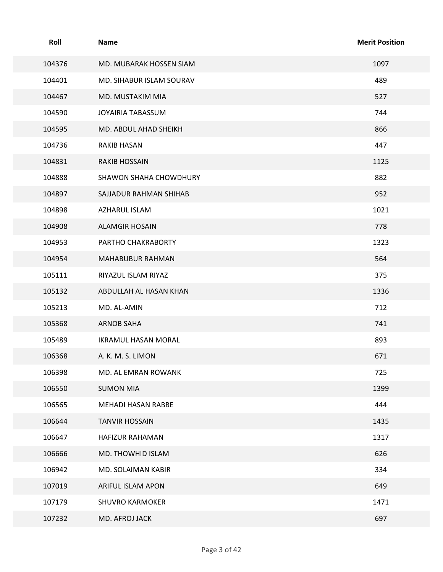| Roll   | Name                       | <b>Merit Position</b> |
|--------|----------------------------|-----------------------|
| 104376 | MD. MUBARAK HOSSEN SIAM    | 1097                  |
| 104401 | MD. SIHABUR ISLAM SOURAV   | 489                   |
| 104467 | MD. MUSTAKIM MIA           | 527                   |
| 104590 | JOYAIRIA TABASSUM          | 744                   |
| 104595 | MD. ABDUL AHAD SHEIKH      | 866                   |
| 104736 | RAKIB HASAN                | 447                   |
| 104831 | <b>RAKIB HOSSAIN</b>       | 1125                  |
| 104888 | SHAWON SHAHA CHOWDHURY     | 882                   |
| 104897 | SAJJADUR RAHMAN SHIHAB     | 952                   |
| 104898 | AZHARUL ISLAM              | 1021                  |
| 104908 | <b>ALAMGIR HOSAIN</b>      | 778                   |
| 104953 | PARTHO CHAKRABORTY         | 1323                  |
| 104954 | MAHABUBUR RAHMAN           | 564                   |
| 105111 | RIYAZUL ISLAM RIYAZ        | 375                   |
| 105132 | ABDULLAH AL HASAN KHAN     | 1336                  |
| 105213 | MD. AL-AMIN                | 712                   |
| 105368 | <b>ARNOB SAHA</b>          | 741                   |
| 105489 | <b>IKRAMUL HASAN MORAL</b> | 893                   |
| 106368 | A. K. M. S. LIMON          | 671                   |
| 106398 | MD. AL EMRAN ROWANK        | 725                   |
| 106550 | <b>SUMON MIA</b>           | 1399                  |
| 106565 | MEHADI HASAN RABBE         | 444                   |
| 106644 | <b>TANVIR HOSSAIN</b>      | 1435                  |
| 106647 | <b>HAFIZUR RAHAMAN</b>     | 1317                  |
| 106666 | MD. THOWHID ISLAM          | 626                   |
| 106942 | MD. SOLAIMAN KABIR         | 334                   |
| 107019 | ARIFUL ISLAM APON          | 649                   |
| 107179 | SHUVRO KARMOKER            | 1471                  |
| 107232 | MD. AFROJ JACK             | 697                   |
|        | Page 3 of 42               |                       |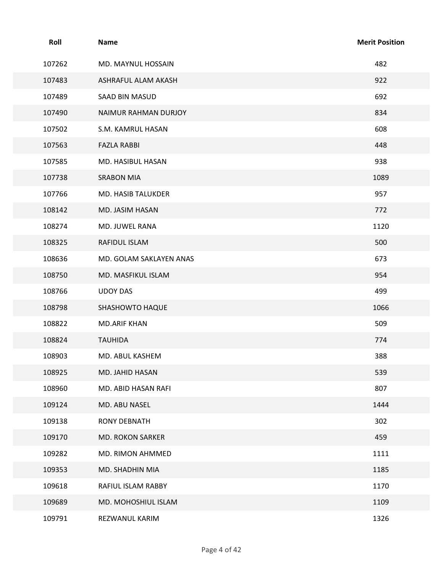| Roll   | Name                    | <b>Merit Position</b> |
|--------|-------------------------|-----------------------|
| 107262 | MD. MAYNUL HOSSAIN      | 482                   |
| 107483 | ASHRAFUL ALAM AKASH     | 922                   |
| 107489 | SAAD BIN MASUD          | 692                   |
| 107490 | NAIMUR RAHMAN DURJOY    | 834                   |
| 107502 | S.M. KAMRUL HASAN       | 608                   |
| 107563 | <b>FAZLA RABBI</b>      | 448                   |
| 107585 | MD. HASIBUL HASAN       | 938                   |
| 107738 | <b>SRABON MIA</b>       | 1089                  |
| 107766 | MD. HASIB TALUKDER      | 957                   |
| 108142 | MD. JASIM HASAN         | 772                   |
| 108274 | MD. JUWEL RANA          | 1120                  |
| 108325 | RAFIDUL ISLAM           | 500                   |
| 108636 | MD. GOLAM SAKLAYEN ANAS | 673                   |
| 108750 | MD. MASFIKUL ISLAM      | 954                   |
| 108766 | <b>UDOY DAS</b>         | 499                   |
| 108798 | SHASHOWTO HAQUE         | 1066                  |
| 108822 | <b>MD.ARIF KHAN</b>     | 509                   |
| 108824 | <b>TAUHIDA</b>          | 774                   |
| 108903 | MD. ABUL KASHEM         | 388                   |
| 108925 | MD. JAHID HASAN         | 539                   |
| 108960 | MD. ABID HASAN RAFI     | 807                   |
| 109124 | MD. ABU NASEL           | 1444                  |
| 109138 | RONY DEBNATH            | 302                   |
| 109170 | MD. ROKON SARKER        | 459                   |
| 109282 | MD. RIMON AHMMED        | 1111                  |
| 109353 | MD. SHADHIN MIA         | 1185                  |
| 109618 | RAFIUL ISLAM RABBY      | 1170                  |
| 109689 | MD. MOHOSHIUL ISLAM     | 1109                  |
| 109791 | REZWANUL KARIM          | 1326                  |
|        | Page 4 of 42            |                       |
|        |                         |                       |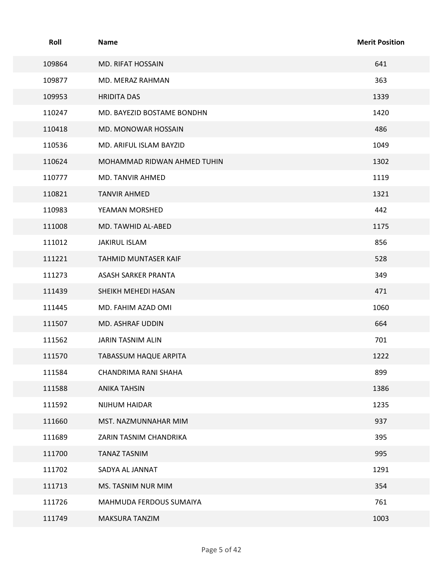| Roll   | Name                        | <b>Merit Position</b> |
|--------|-----------------------------|-----------------------|
| 109864 | MD. RIFAT HOSSAIN           | 641                   |
| 109877 | MD. MERAZ RAHMAN            | 363                   |
| 109953 | <b>HRIDITA DAS</b>          | 1339                  |
| 110247 | MD. BAYEZID BOSTAME BONDHN  | 1420                  |
| 110418 | MD. MONOWAR HOSSAIN         | 486                   |
| 110536 | MD. ARIFUL ISLAM BAYZID     | 1049                  |
| 110624 | MOHAMMAD RIDWAN AHMED TUHIN | 1302                  |
| 110777 | MD. TANVIR AHMED            | 1119                  |
| 110821 | <b>TANVIR AHMED</b>         | 1321                  |
| 110983 | YEAMAN MORSHED              | 442                   |
| 111008 | MD. TAWHID AL-ABED          | 1175                  |
| 111012 | JAKIRUL ISLAM               | 856                   |
| 111221 | TAHMID MUNTASER KAIF        | 528                   |
| 111273 | ASASH SARKER PRANTA         | 349                   |
| 111439 | SHEIKH MEHEDI HASAN         | 471                   |
| 111445 | MD. FAHIM AZAD OMI          | 1060                  |
| 111507 | MD. ASHRAF UDDIN            | 664                   |
| 111562 | JARIN TASNIM ALIN           | 701                   |
| 111570 | TABASSUM HAQUE ARPITA       | 1222                  |
| 111584 | CHANDRIMA RANI SHAHA        | 899                   |
| 111588 | ANIKA TAHSIN                | 1386                  |
| 111592 | NIJHUM HAIDAR               | 1235                  |
| 111660 | MST. NAZMUNNAHAR MIM        | 937                   |
| 111689 | ZARIN TASNIM CHANDRIKA      | 395                   |
| 111700 | <b>TANAZ TASNIM</b>         | 995                   |
| 111702 | SADYA AL JANNAT             | 1291                  |
| 111713 | MS. TASNIM NUR MIM          | 354                   |
| 111726 | MAHMUDA FERDOUS SUMAIYA     | 761                   |
| 111749 | MAKSURA TANZIM              | 1003                  |
|        | Page 5 of 42                |                       |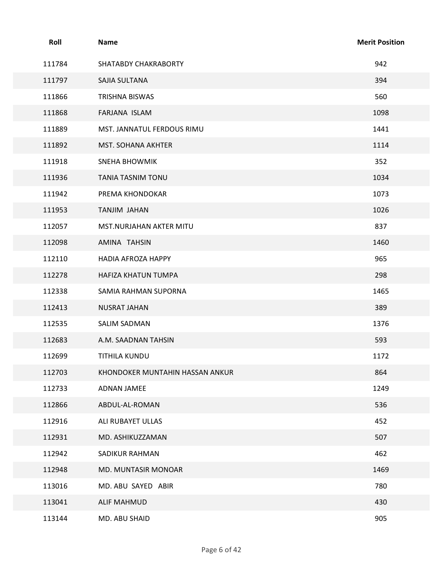| Roll<br><b>Merit Position</b><br><b>Name</b><br>942<br>111784<br>SHATABDY CHAKRABORTY<br>394<br>111797<br>SAJIA SULTANA<br>560<br>111866<br>TRISHNA BISWAS<br>111868<br>FARJANA ISLAM<br>1098<br>1441<br>111889<br>MST. JANNATUL FERDOUS RIMU<br>1114<br>111892<br>MST. SOHANA AKHTER<br>352<br>111918<br><b>SNEHA BHOWMIK</b><br>1034<br>111936<br><b>TANIA TASNIM TONU</b><br>1073<br>111942<br>PREMA KHONDOKAR<br>1026<br>111953<br>TANJIM JAHAN<br>837<br>112057<br>MST.NURJAHAN AKTER MITU<br>1460<br>112098<br>AMINA TAHSIN<br>965<br>112110<br>HADIA AFROZA HAPPY<br>112278<br>298<br>HAFIZA KHATUN TUMPA<br>1465<br>112338<br>SAMIA RAHMAN SUPORNA<br>389<br>112413<br>NUSRAT JAHAN<br>1376<br>112535<br>SALIM SADMAN<br>593<br>112683<br>A.M. SAADNAN TAHSIN<br>1172<br>112699<br>TITHILA KUNDU<br>864<br>112703<br>KHONDOKER MUNTAHIN HASSAN ANKUR<br>1249<br>112733<br>ADNAN JAMEE<br>536<br>112866<br>ABDUL-AL-ROMAN<br>452<br>112916<br>ALI RUBAYET ULLAS<br>507<br>112931<br>MD. ASHIKUZZAMAN<br>462<br>112942<br>SADIKUR RAHMAN<br>112948<br>1469<br>MD. MUNTASIR MONOAR<br>780<br>113016<br>MD. ABU SAYED ABIR<br>430<br>113041<br><b>ALIF MAHMUD</b><br>905<br>113144<br>MD. ABU SHAID<br>Page 6 of 42 |  |  |
|-------------------------------------------------------------------------------------------------------------------------------------------------------------------------------------------------------------------------------------------------------------------------------------------------------------------------------------------------------------------------------------------------------------------------------------------------------------------------------------------------------------------------------------------------------------------------------------------------------------------------------------------------------------------------------------------------------------------------------------------------------------------------------------------------------------------------------------------------------------------------------------------------------------------------------------------------------------------------------------------------------------------------------------------------------------------------------------------------------------------------------------------------------------------------------------------------------------------------|--|--|
|                                                                                                                                                                                                                                                                                                                                                                                                                                                                                                                                                                                                                                                                                                                                                                                                                                                                                                                                                                                                                                                                                                                                                                                                                         |  |  |
|                                                                                                                                                                                                                                                                                                                                                                                                                                                                                                                                                                                                                                                                                                                                                                                                                                                                                                                                                                                                                                                                                                                                                                                                                         |  |  |
|                                                                                                                                                                                                                                                                                                                                                                                                                                                                                                                                                                                                                                                                                                                                                                                                                                                                                                                                                                                                                                                                                                                                                                                                                         |  |  |
|                                                                                                                                                                                                                                                                                                                                                                                                                                                                                                                                                                                                                                                                                                                                                                                                                                                                                                                                                                                                                                                                                                                                                                                                                         |  |  |
|                                                                                                                                                                                                                                                                                                                                                                                                                                                                                                                                                                                                                                                                                                                                                                                                                                                                                                                                                                                                                                                                                                                                                                                                                         |  |  |
|                                                                                                                                                                                                                                                                                                                                                                                                                                                                                                                                                                                                                                                                                                                                                                                                                                                                                                                                                                                                                                                                                                                                                                                                                         |  |  |
|                                                                                                                                                                                                                                                                                                                                                                                                                                                                                                                                                                                                                                                                                                                                                                                                                                                                                                                                                                                                                                                                                                                                                                                                                         |  |  |
|                                                                                                                                                                                                                                                                                                                                                                                                                                                                                                                                                                                                                                                                                                                                                                                                                                                                                                                                                                                                                                                                                                                                                                                                                         |  |  |
|                                                                                                                                                                                                                                                                                                                                                                                                                                                                                                                                                                                                                                                                                                                                                                                                                                                                                                                                                                                                                                                                                                                                                                                                                         |  |  |
|                                                                                                                                                                                                                                                                                                                                                                                                                                                                                                                                                                                                                                                                                                                                                                                                                                                                                                                                                                                                                                                                                                                                                                                                                         |  |  |
|                                                                                                                                                                                                                                                                                                                                                                                                                                                                                                                                                                                                                                                                                                                                                                                                                                                                                                                                                                                                                                                                                                                                                                                                                         |  |  |
|                                                                                                                                                                                                                                                                                                                                                                                                                                                                                                                                                                                                                                                                                                                                                                                                                                                                                                                                                                                                                                                                                                                                                                                                                         |  |  |
|                                                                                                                                                                                                                                                                                                                                                                                                                                                                                                                                                                                                                                                                                                                                                                                                                                                                                                                                                                                                                                                                                                                                                                                                                         |  |  |
|                                                                                                                                                                                                                                                                                                                                                                                                                                                                                                                                                                                                                                                                                                                                                                                                                                                                                                                                                                                                                                                                                                                                                                                                                         |  |  |
|                                                                                                                                                                                                                                                                                                                                                                                                                                                                                                                                                                                                                                                                                                                                                                                                                                                                                                                                                                                                                                                                                                                                                                                                                         |  |  |
|                                                                                                                                                                                                                                                                                                                                                                                                                                                                                                                                                                                                                                                                                                                                                                                                                                                                                                                                                                                                                                                                                                                                                                                                                         |  |  |
|                                                                                                                                                                                                                                                                                                                                                                                                                                                                                                                                                                                                                                                                                                                                                                                                                                                                                                                                                                                                                                                                                                                                                                                                                         |  |  |
|                                                                                                                                                                                                                                                                                                                                                                                                                                                                                                                                                                                                                                                                                                                                                                                                                                                                                                                                                                                                                                                                                                                                                                                                                         |  |  |
|                                                                                                                                                                                                                                                                                                                                                                                                                                                                                                                                                                                                                                                                                                                                                                                                                                                                                                                                                                                                                                                                                                                                                                                                                         |  |  |
|                                                                                                                                                                                                                                                                                                                                                                                                                                                                                                                                                                                                                                                                                                                                                                                                                                                                                                                                                                                                                                                                                                                                                                                                                         |  |  |
|                                                                                                                                                                                                                                                                                                                                                                                                                                                                                                                                                                                                                                                                                                                                                                                                                                                                                                                                                                                                                                                                                                                                                                                                                         |  |  |
|                                                                                                                                                                                                                                                                                                                                                                                                                                                                                                                                                                                                                                                                                                                                                                                                                                                                                                                                                                                                                                                                                                                                                                                                                         |  |  |
|                                                                                                                                                                                                                                                                                                                                                                                                                                                                                                                                                                                                                                                                                                                                                                                                                                                                                                                                                                                                                                                                                                                                                                                                                         |  |  |
|                                                                                                                                                                                                                                                                                                                                                                                                                                                                                                                                                                                                                                                                                                                                                                                                                                                                                                                                                                                                                                                                                                                                                                                                                         |  |  |
|                                                                                                                                                                                                                                                                                                                                                                                                                                                                                                                                                                                                                                                                                                                                                                                                                                                                                                                                                                                                                                                                                                                                                                                                                         |  |  |
|                                                                                                                                                                                                                                                                                                                                                                                                                                                                                                                                                                                                                                                                                                                                                                                                                                                                                                                                                                                                                                                                                                                                                                                                                         |  |  |
|                                                                                                                                                                                                                                                                                                                                                                                                                                                                                                                                                                                                                                                                                                                                                                                                                                                                                                                                                                                                                                                                                                                                                                                                                         |  |  |
|                                                                                                                                                                                                                                                                                                                                                                                                                                                                                                                                                                                                                                                                                                                                                                                                                                                                                                                                                                                                                                                                                                                                                                                                                         |  |  |
|                                                                                                                                                                                                                                                                                                                                                                                                                                                                                                                                                                                                                                                                                                                                                                                                                                                                                                                                                                                                                                                                                                                                                                                                                         |  |  |
|                                                                                                                                                                                                                                                                                                                                                                                                                                                                                                                                                                                                                                                                                                                                                                                                                                                                                                                                                                                                                                                                                                                                                                                                                         |  |  |
|                                                                                                                                                                                                                                                                                                                                                                                                                                                                                                                                                                                                                                                                                                                                                                                                                                                                                                                                                                                                                                                                                                                                                                                                                         |  |  |
|                                                                                                                                                                                                                                                                                                                                                                                                                                                                                                                                                                                                                                                                                                                                                                                                                                                                                                                                                                                                                                                                                                                                                                                                                         |  |  |
|                                                                                                                                                                                                                                                                                                                                                                                                                                                                                                                                                                                                                                                                                                                                                                                                                                                                                                                                                                                                                                                                                                                                                                                                                         |  |  |
|                                                                                                                                                                                                                                                                                                                                                                                                                                                                                                                                                                                                                                                                                                                                                                                                                                                                                                                                                                                                                                                                                                                                                                                                                         |  |  |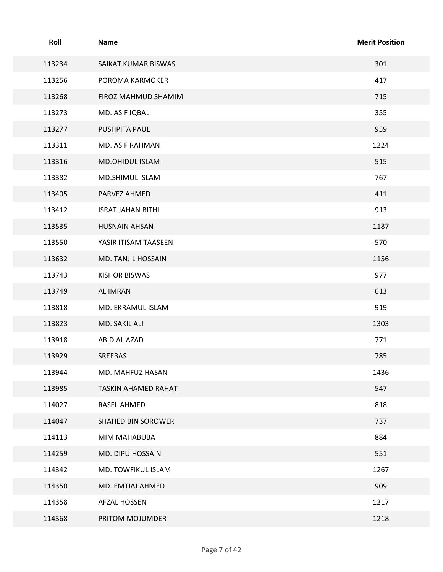| Roll   | <b>Name</b>              | <b>Merit Position</b> |
|--------|--------------------------|-----------------------|
| 113234 | SAIKAT KUMAR BISWAS      | 301                   |
| 113256 | POROMA KARMOKER          | 417                   |
| 113268 | FIROZ MAHMUD SHAMIM      | 715                   |
| 113273 | MD. ASIF IQBAL           | 355                   |
| 113277 | PUSHPITA PAUL            | 959                   |
| 113311 | MD. ASIF RAHMAN          | 1224                  |
| 113316 | MD.OHIDUL ISLAM          | 515                   |
| 113382 | MD.SHIMUL ISLAM          | 767                   |
| 113405 | PARVEZ AHMED             | 411                   |
| 113412 | <b>ISRAT JAHAN BITHI</b> | 913                   |
| 113535 | HUSNAIN AHSAN            | 1187                  |
| 113550 | YASIR ITISAM TAASEEN     | 570                   |
| 113632 | MD. TANJIL HOSSAIN       | 1156                  |
| 113743 | <b>KISHOR BISWAS</b>     | 977                   |
| 113749 | AL IMRAN                 | 613                   |
| 113818 | MD. EKRAMUL ISLAM        | 919                   |
| 113823 | MD. SAKIL ALI            | 1303                  |
| 113918 | ABID AL AZAD             | 771                   |
| 113929 | SREEBAS                  | 785                   |
| 113944 | MD. MAHFUZ HASAN         | 1436                  |
| 113985 | TASKIN AHAMED RAHAT      | 547                   |
| 114027 | RASEL AHMED              | 818                   |
| 114047 | SHAHED BIN SOROWER       | 737                   |
| 114113 | MIM MAHABUBA             | 884                   |
| 114259 | MD. DIPU HOSSAIN         | 551                   |
| 114342 | MD. TOWFIKUL ISLAM       | 1267                  |
| 114350 | MD. EMTIAJ AHMED         | 909                   |
| 114358 | AFZAL HOSSEN             | 1217                  |
| 114368 | PRITOM MOJUMDER          | 1218                  |
|        | Page 7 of 42             |                       |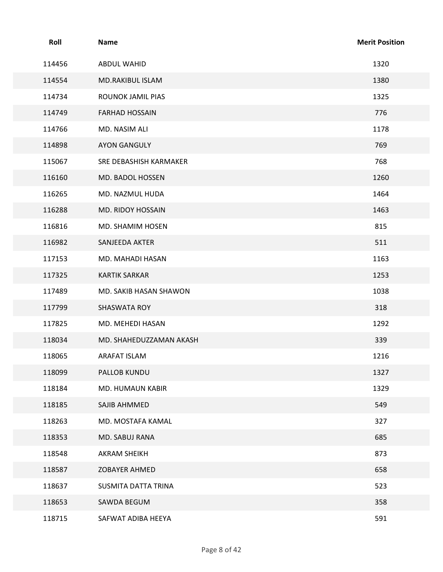| Roll   | Name                    | <b>Merit Position</b> |
|--------|-------------------------|-----------------------|
| 114456 | ABDUL WAHID             | 1320                  |
| 114554 | MD.RAKIBUL ISLAM        | 1380                  |
| 114734 | ROUNOK JAMIL PIAS       | 1325                  |
| 114749 | <b>FARHAD HOSSAIN</b>   | 776                   |
| 114766 | MD. NASIM ALI           | 1178                  |
| 114898 | <b>AYON GANGULY</b>     | 769                   |
| 115067 | SRE DEBASHISH KARMAKER  | 768                   |
| 116160 | MD. BADOL HOSSEN        | 1260                  |
| 116265 | MD. NAZMUL HUDA         | 1464                  |
| 116288 | MD. RIDOY HOSSAIN       | 1463                  |
| 116816 | MD. SHAMIM HOSEN        | 815                   |
| 116982 | SANJEEDA AKTER          | 511                   |
| 117153 | MD. MAHADI HASAN        | 1163                  |
| 117325 | <b>KARTIK SARKAR</b>    | 1253                  |
| 117489 | MD. SAKIB HASAN SHAWON  | 1038                  |
| 117799 | SHASWATA ROY            | 318                   |
| 117825 | MD. MEHEDI HASAN        | 1292                  |
| 118034 | MD. SHAHEDUZZAMAN AKASH | 339                   |
| 118065 | ARAFAT ISLAM            | 1216                  |
| 118099 | PALLOB KUNDU            | 1327                  |
| 118184 | MD. HUMAUN KABIR        | 1329                  |
| 118185 | SAJIB AHMMED            | 549                   |
| 118263 | MD. MOSTAFA KAMAL       | 327                   |
| 118353 | MD. SABUJ RANA          | 685                   |
| 118548 | <b>AKRAM SHEIKH</b>     | 873                   |
| 118587 | ZOBAYER AHMED           | 658                   |
| 118637 | SUSMITA DATTA TRINA     | 523                   |
| 118653 | SAWDA BEGUM             | 358                   |
| 118715 | SAFWAT ADIBA HEEYA      | 591                   |
|        | Page 8 of 42            |                       |
|        |                         |                       |
|        |                         |                       |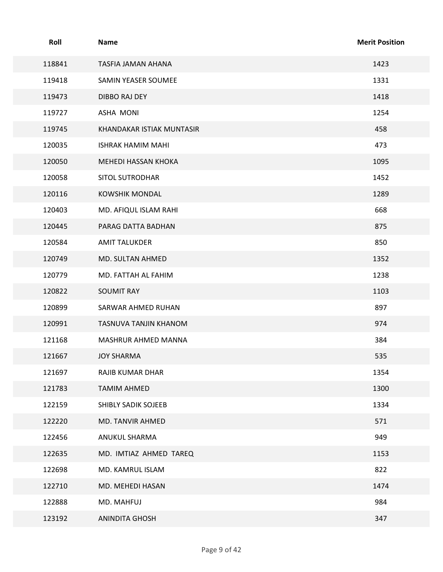| Roll   | Name                      | <b>Merit Position</b> |
|--------|---------------------------|-----------------------|
| 118841 | TASFIA JAMAN AHANA        | 1423                  |
| 119418 | SAMIN YEASER SOUMEE       | 1331                  |
| 119473 | DIBBO RAJ DEY             | 1418                  |
| 119727 | ASHA MONI                 | 1254                  |
| 119745 | KHANDAKAR ISTIAK MUNTASIR | 458                   |
| 120035 | <b>ISHRAK HAMIM MAHI</b>  | 473                   |
| 120050 | MEHEDI HASSAN KHOKA       | 1095                  |
| 120058 | <b>SITOL SUTRODHAR</b>    | 1452                  |
| 120116 | <b>KOWSHIK MONDAL</b>     | 1289                  |
| 120403 | MD. AFIQUL ISLAM RAHI     | 668                   |
| 120445 | PARAG DATTA BADHAN        | 875                   |
| 120584 | AMIT TALUKDER             | 850                   |
| 120749 | MD. SULTAN AHMED          | 1352                  |
| 120779 | MD. FATTAH AL FAHIM       | 1238                  |
| 120822 | SOUMIT RAY                | 1103                  |
| 120899 | SARWAR AHMED RUHAN        | 897                   |
| 120991 | TASNUVA TANJIN KHANOM     | 974                   |
| 121168 | MASHRUR AHMED MANNA       | 384                   |
| 121667 | <b>JOY SHARMA</b>         | 535                   |
| 121697 | RAJIB KUMAR DHAR          | 1354                  |
| 121783 | <b>TAMIM AHMED</b>        | 1300                  |
| 122159 | SHIBLY SADIK SOJEEB       | 1334                  |
| 122220 | MD. TANVIR AHMED          | 571                   |
| 122456 | ANUKUL SHARMA             | 949                   |
| 122635 | MD. IMTIAZ AHMED TAREQ    | 1153                  |
| 122698 | MD. KAMRUL ISLAM          | 822                   |
| 122710 | MD. MEHEDI HASAN          | 1474                  |
| 122888 | MD. MAHFUJ                | 984                   |
| 123192 | ANINDITA GHOSH            | 347                   |
|        | Page 9 of 42              |                       |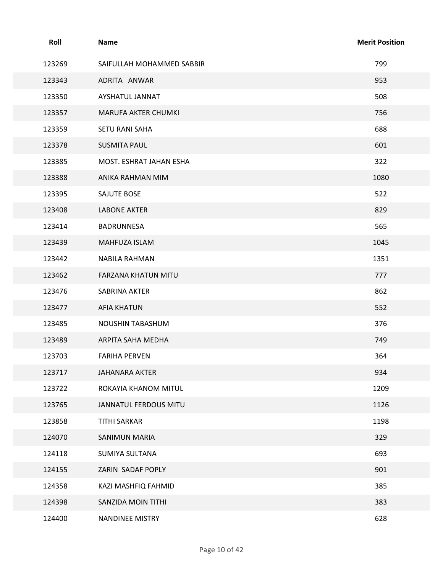| Roll   | <b>Name</b>               | <b>Merit Position</b> |
|--------|---------------------------|-----------------------|
| 123269 | SAIFULLAH MOHAMMED SABBIR | 799                   |
| 123343 | ADRITA ANWAR              | 953                   |
| 123350 | AYSHATUL JANNAT           | 508                   |
| 123357 | MARUFA AKTER CHUMKI       | 756                   |
| 123359 | SETU RANI SAHA            | 688                   |
| 123378 | <b>SUSMITA PAUL</b>       | 601                   |
| 123385 | MOST. ESHRAT JAHAN ESHA   | 322                   |
| 123388 | ANIKA RAHMAN MIM          | 1080                  |
| 123395 | SAJUTE BOSE               | 522                   |
| 123408 | LABONE AKTER              | 829                   |
| 123414 | BADRUNNESA                | 565                   |
| 123439 | MAHFUZA ISLAM             | 1045                  |
| 123442 | NABILA RAHMAN             | 1351                  |
| 123462 | FARZANA KHATUN MITU       | 777                   |
| 123476 | SABRINA AKTER             | 862                   |
| 123477 | <b>AFIA KHATUN</b>        | 552                   |
| 123485 | NOUSHIN TABASHUM          | 376                   |
| 123489 | ARPITA SAHA MEDHA         | 749                   |
| 123703 | <b>FARIHA PERVEN</b>      | 364                   |
| 123717 | JAHANARA AKTER            | 934                   |
| 123722 | ROKAYIA KHANOM MITUL      | 1209                  |
| 123765 | JANNATUL FERDOUS MITU     | 1126                  |
| 123858 | <b>TITHI SARKAR</b>       | 1198                  |
| 124070 | SANIMUN MARIA             | 329                   |
| 124118 | SUMIYA SULTANA            | 693                   |
| 124155 | ZARIN SADAF POPLY         | 901                   |
| 124358 | KAZI MASHFIQ FAHMID       | 385                   |
| 124398 | SANZIDA MOIN TITHI        | 383                   |
| 124400 | NANDINEE MISTRY           | 628                   |
|        |                           |                       |
|        | Page 10 of 42             |                       |
|        |                           |                       |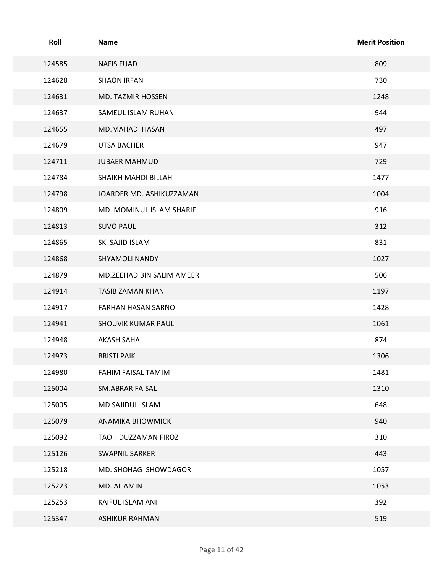| Roll   | Name                      | <b>Merit Position</b> |
|--------|---------------------------|-----------------------|
| 124585 | <b>NAFIS FUAD</b>         | 809                   |
| 124628 | <b>SHAON IRFAN</b>        | 730                   |
| 124631 | MD. TAZMIR HOSSEN         | 1248                  |
| 124637 | SAMEUL ISLAM RUHAN        | 944                   |
| 124655 | MD.MAHADI HASAN           | 497                   |
| 124679 | <b>UTSA BACHER</b>        | 947                   |
| 124711 | <b>JUBAER MAHMUD</b>      | 729                   |
| 124784 | SHAIKH MAHDI BILLAH       | 1477                  |
| 124798 | JOARDER MD. ASHIKUZZAMAN  | 1004                  |
| 124809 | MD. MOMINUL ISLAM SHARIF  | 916                   |
| 124813 | <b>SUVO PAUL</b>          | 312                   |
| 124865 | SK. SAJID ISLAM           | 831                   |
| 124868 | SHYAMOLI NANDY            | 1027                  |
| 124879 | MD.ZEEHAD BIN SALIM AMEER | 506                   |
| 124914 | TASIB ZAMAN KHAN          | 1197                  |
| 124917 | FARHAN HASAN SARNO        | 1428                  |
| 124941 | SHOUVIK KUMAR PAUL        | 1061                  |
| 124948 | AKASH SAHA                | 874                   |
| 124973 | <b>BRISTI PAIK</b>        | 1306                  |
| 124980 | FAHIM FAISAL TAMIM        | 1481                  |
| 125004 | SM.ABRAR FAISAL           | 1310                  |
| 125005 | MD SAJIDUL ISLAM          | 648                   |
| 125079 | <b>ANAMIKA BHOWMICK</b>   | 940                   |
| 125092 | TAOHIDUZZAMAN FIROZ       | 310                   |
| 125126 | SWAPNIL SARKER            | 443                   |
| 125218 | MD. SHOHAG SHOWDAGOR      | 1057                  |
| 125223 | MD. AL AMIN               | 1053                  |
| 125253 | KAIFUL ISLAM ANI          | 392                   |
| 125347 | <b>ASHIKUR RAHMAN</b>     | 519                   |
|        | Page 11 of 42             |                       |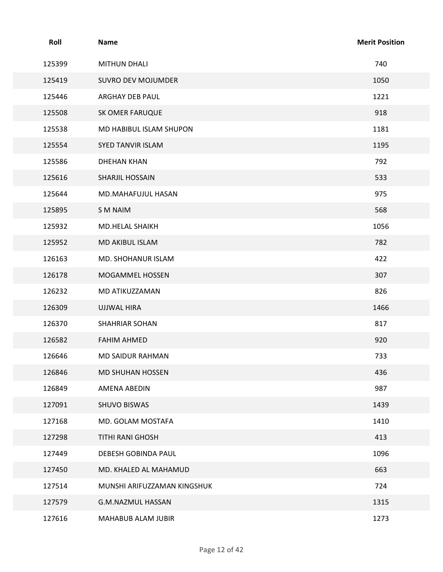| Roll<br><b>Merit Position</b><br>Name<br>740<br>125399<br><b>MITHUN DHALI</b><br>125419<br>SUVRO DEV MOJUMDER<br>1050<br>125446<br>ARGHAY DEB PAUL<br>1221<br>918<br>125508<br>SK OMER FARUQUE<br>1181<br>125538<br>MD HABIBUL ISLAM SHUPON<br>125554<br>SYED TANVIR ISLAM<br>1195<br>792<br>125586<br><b>DHEHAN KHAN</b><br>533<br>125616<br>SHARJIL HOSSAIN<br>975<br>125644<br>MD.MAHAFUJUL HASAN<br>568<br>125895<br>S M NAIM<br>1056<br>125932<br>MD.HELAL SHAIKH<br>782<br>125952<br>MD AKIBUL ISLAM<br>422<br>126163<br>MD. SHOHANUR ISLAM<br>126178<br>307<br>MOGAMMEL HOSSEN<br>826<br>126232<br>MD ATIKUZZAMAN<br>1466<br>126309<br>UJJWAL HIRA<br>817<br>126370<br>SHAHRIAR SOHAN<br>920<br>126582<br><b>FAHIM AHMED</b><br>733<br>126646<br>MD SAIDUR RAHMAN<br>436<br>126846<br>MD SHUHAN HOSSEN<br>987<br>126849<br>AMENA ABEDIN<br>127091<br>1439<br>SHUVO BISWAS<br>1410<br>127168<br>MD. GOLAM MOSTAFA<br>413<br>127298<br>TITHI RANI GHOSH<br>1096<br>127449<br>DEBESH GOBINDA PAUL<br>663<br>127450<br>MD. KHALED AL MAHAMUD<br>127514<br>724<br>MUNSHI ARIFUZZAMAN KINGSHUK<br>1315<br>127579<br>G.M.NAZMUL HASSAN<br>1273<br>127616<br>MAHABUB ALAM JUBIR<br>Page 12 of 42 |  |  |
|-------------------------------------------------------------------------------------------------------------------------------------------------------------------------------------------------------------------------------------------------------------------------------------------------------------------------------------------------------------------------------------------------------------------------------------------------------------------------------------------------------------------------------------------------------------------------------------------------------------------------------------------------------------------------------------------------------------------------------------------------------------------------------------------------------------------------------------------------------------------------------------------------------------------------------------------------------------------------------------------------------------------------------------------------------------------------------------------------------------------------------------------------------------------------------------------------|--|--|
|                                                                                                                                                                                                                                                                                                                                                                                                                                                                                                                                                                                                                                                                                                                                                                                                                                                                                                                                                                                                                                                                                                                                                                                                 |  |  |
|                                                                                                                                                                                                                                                                                                                                                                                                                                                                                                                                                                                                                                                                                                                                                                                                                                                                                                                                                                                                                                                                                                                                                                                                 |  |  |
|                                                                                                                                                                                                                                                                                                                                                                                                                                                                                                                                                                                                                                                                                                                                                                                                                                                                                                                                                                                                                                                                                                                                                                                                 |  |  |
|                                                                                                                                                                                                                                                                                                                                                                                                                                                                                                                                                                                                                                                                                                                                                                                                                                                                                                                                                                                                                                                                                                                                                                                                 |  |  |
|                                                                                                                                                                                                                                                                                                                                                                                                                                                                                                                                                                                                                                                                                                                                                                                                                                                                                                                                                                                                                                                                                                                                                                                                 |  |  |
|                                                                                                                                                                                                                                                                                                                                                                                                                                                                                                                                                                                                                                                                                                                                                                                                                                                                                                                                                                                                                                                                                                                                                                                                 |  |  |
|                                                                                                                                                                                                                                                                                                                                                                                                                                                                                                                                                                                                                                                                                                                                                                                                                                                                                                                                                                                                                                                                                                                                                                                                 |  |  |
|                                                                                                                                                                                                                                                                                                                                                                                                                                                                                                                                                                                                                                                                                                                                                                                                                                                                                                                                                                                                                                                                                                                                                                                                 |  |  |
|                                                                                                                                                                                                                                                                                                                                                                                                                                                                                                                                                                                                                                                                                                                                                                                                                                                                                                                                                                                                                                                                                                                                                                                                 |  |  |
|                                                                                                                                                                                                                                                                                                                                                                                                                                                                                                                                                                                                                                                                                                                                                                                                                                                                                                                                                                                                                                                                                                                                                                                                 |  |  |
|                                                                                                                                                                                                                                                                                                                                                                                                                                                                                                                                                                                                                                                                                                                                                                                                                                                                                                                                                                                                                                                                                                                                                                                                 |  |  |
|                                                                                                                                                                                                                                                                                                                                                                                                                                                                                                                                                                                                                                                                                                                                                                                                                                                                                                                                                                                                                                                                                                                                                                                                 |  |  |
|                                                                                                                                                                                                                                                                                                                                                                                                                                                                                                                                                                                                                                                                                                                                                                                                                                                                                                                                                                                                                                                                                                                                                                                                 |  |  |
|                                                                                                                                                                                                                                                                                                                                                                                                                                                                                                                                                                                                                                                                                                                                                                                                                                                                                                                                                                                                                                                                                                                                                                                                 |  |  |
|                                                                                                                                                                                                                                                                                                                                                                                                                                                                                                                                                                                                                                                                                                                                                                                                                                                                                                                                                                                                                                                                                                                                                                                                 |  |  |
|                                                                                                                                                                                                                                                                                                                                                                                                                                                                                                                                                                                                                                                                                                                                                                                                                                                                                                                                                                                                                                                                                                                                                                                                 |  |  |
|                                                                                                                                                                                                                                                                                                                                                                                                                                                                                                                                                                                                                                                                                                                                                                                                                                                                                                                                                                                                                                                                                                                                                                                                 |  |  |
|                                                                                                                                                                                                                                                                                                                                                                                                                                                                                                                                                                                                                                                                                                                                                                                                                                                                                                                                                                                                                                                                                                                                                                                                 |  |  |
|                                                                                                                                                                                                                                                                                                                                                                                                                                                                                                                                                                                                                                                                                                                                                                                                                                                                                                                                                                                                                                                                                                                                                                                                 |  |  |
|                                                                                                                                                                                                                                                                                                                                                                                                                                                                                                                                                                                                                                                                                                                                                                                                                                                                                                                                                                                                                                                                                                                                                                                                 |  |  |
|                                                                                                                                                                                                                                                                                                                                                                                                                                                                                                                                                                                                                                                                                                                                                                                                                                                                                                                                                                                                                                                                                                                                                                                                 |  |  |
|                                                                                                                                                                                                                                                                                                                                                                                                                                                                                                                                                                                                                                                                                                                                                                                                                                                                                                                                                                                                                                                                                                                                                                                                 |  |  |
|                                                                                                                                                                                                                                                                                                                                                                                                                                                                                                                                                                                                                                                                                                                                                                                                                                                                                                                                                                                                                                                                                                                                                                                                 |  |  |
|                                                                                                                                                                                                                                                                                                                                                                                                                                                                                                                                                                                                                                                                                                                                                                                                                                                                                                                                                                                                                                                                                                                                                                                                 |  |  |
|                                                                                                                                                                                                                                                                                                                                                                                                                                                                                                                                                                                                                                                                                                                                                                                                                                                                                                                                                                                                                                                                                                                                                                                                 |  |  |
|                                                                                                                                                                                                                                                                                                                                                                                                                                                                                                                                                                                                                                                                                                                                                                                                                                                                                                                                                                                                                                                                                                                                                                                                 |  |  |
|                                                                                                                                                                                                                                                                                                                                                                                                                                                                                                                                                                                                                                                                                                                                                                                                                                                                                                                                                                                                                                                                                                                                                                                                 |  |  |
|                                                                                                                                                                                                                                                                                                                                                                                                                                                                                                                                                                                                                                                                                                                                                                                                                                                                                                                                                                                                                                                                                                                                                                                                 |  |  |
|                                                                                                                                                                                                                                                                                                                                                                                                                                                                                                                                                                                                                                                                                                                                                                                                                                                                                                                                                                                                                                                                                                                                                                                                 |  |  |
|                                                                                                                                                                                                                                                                                                                                                                                                                                                                                                                                                                                                                                                                                                                                                                                                                                                                                                                                                                                                                                                                                                                                                                                                 |  |  |
|                                                                                                                                                                                                                                                                                                                                                                                                                                                                                                                                                                                                                                                                                                                                                                                                                                                                                                                                                                                                                                                                                                                                                                                                 |  |  |
|                                                                                                                                                                                                                                                                                                                                                                                                                                                                                                                                                                                                                                                                                                                                                                                                                                                                                                                                                                                                                                                                                                                                                                                                 |  |  |
|                                                                                                                                                                                                                                                                                                                                                                                                                                                                                                                                                                                                                                                                                                                                                                                                                                                                                                                                                                                                                                                                                                                                                                                                 |  |  |
|                                                                                                                                                                                                                                                                                                                                                                                                                                                                                                                                                                                                                                                                                                                                                                                                                                                                                                                                                                                                                                                                                                                                                                                                 |  |  |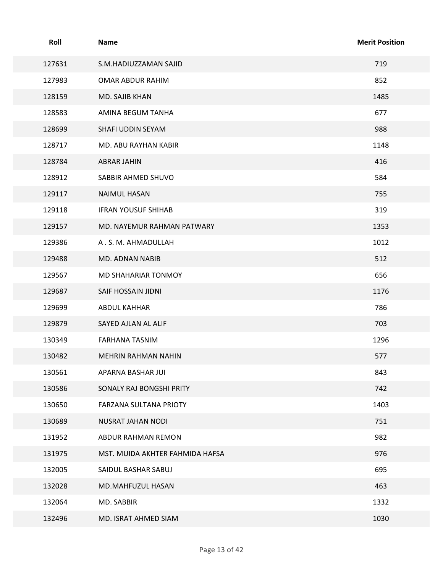| Roll             | Name                                            | <b>Merit Position</b> |
|------------------|-------------------------------------------------|-----------------------|
| 127631           | S.M.HADIUZZAMAN SAJID                           | 719                   |
| 127983           | OMAR ABDUR RAHIM                                | 852                   |
| 128159           | MD. SAJIB KHAN                                  | 1485                  |
| 128583           | AMINA BEGUM TANHA                               | 677                   |
| 128699           | SHAFI UDDIN SEYAM                               | 988                   |
| 128717           | MD. ABU RAYHAN KABIR                            | 1148                  |
| 128784           | <b>ABRAR JAHIN</b>                              | 416                   |
| 128912           | SABBIR AHMED SHUVO                              | 584                   |
| 129117           | NAIMUL HASAN                                    | 755                   |
| 129118           | <b>IFRAN YOUSUF SHIHAB</b>                      | 319                   |
| 129157           | MD. NAYEMUR RAHMAN PATWARY<br>A.S.M. AHMADULLAH | 1353<br>1012          |
| 129386<br>129488 | MD. ADNAN NABIB                                 | 512                   |
| 129567           | MD SHAHARIAR TONMOY                             | 656                   |
| 129687           | SAIF HOSSAIN JIDNI                              | 1176                  |
| 129699           | ABDUL KAHHAR                                    | 786                   |
| 129879           | SAYED AJLAN AL ALIF                             | 703                   |
| 130349           | FARHANA TASNIM                                  | 1296                  |
| 130482           | MEHRIN RAHMAN NAHIN                             | 577                   |
| 130561           | APARNA BASHAR JUI                               | 843                   |
| 130586           | SONALY RAJ BONGSHI PRITY                        | 742                   |
| 130650           | FARZANA SULTANA PRIOTY                          | 1403                  |
| 130689           | NUSRAT JAHAN NODI                               | 751                   |
| 131952           | ABDUR RAHMAN REMON                              | 982                   |
| 131975           | MST. MUIDA AKHTER FAHMIDA HAFSA                 | 976                   |
| 132005           | SAIDUL BASHAR SABUJ                             | 695                   |
| 132028           | MD.MAHFUZUL HASAN                               | 463                   |
| 132064           | MD. SABBIR                                      | 1332                  |
| 132496           | MD. ISRAT AHMED SIAM                            | 1030                  |
|                  | Page 13 of 42                                   |                       |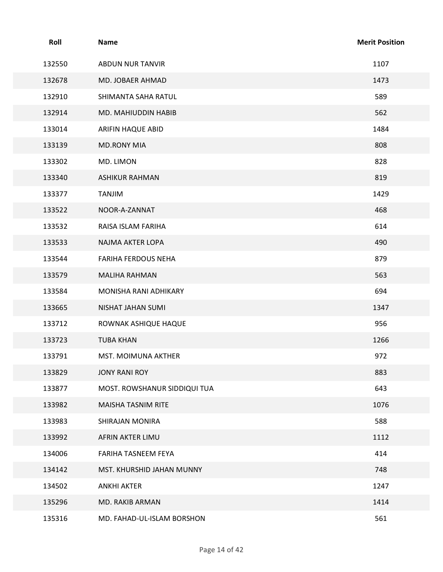| Roll   | Name                         | <b>Merit Position</b> |
|--------|------------------------------|-----------------------|
| 132550 | <b>ABDUN NUR TANVIR</b>      | 1107                  |
| 132678 | MD. JOBAER AHMAD             | 1473                  |
| 132910 | SHIMANTA SAHA RATUL          | 589                   |
| 132914 | MD. MAHIUDDIN HABIB          | 562                   |
| 133014 | ARIFIN HAQUE ABID            | 1484                  |
| 133139 | <b>MD.RONY MIA</b>           | 808                   |
| 133302 | MD. LIMON                    | 828                   |
| 133340 | <b>ASHIKUR RAHMAN</b>        | 819                   |
| 133377 | TANJIM                       | 1429                  |
| 133522 | NOOR-A-ZANNAT                | 468                   |
| 133532 | RAISA ISLAM FARIHA           | 614                   |
| 133533 | NAJMA AKTER LOPA             | 490                   |
| 133544 | FARIHA FERDOUS NEHA          | 879                   |
| 133579 | MALIHA RAHMAN                | 563                   |
| 133584 | MONISHA RANI ADHIKARY        | 694                   |
| 133665 | NISHAT JAHAN SUMI            | 1347                  |
| 133712 | ROWNAK ASHIQUE HAQUE         | 956                   |
| 133723 | <b>TUBA KHAN</b>             | 1266                  |
| 133791 | MST. MOIMUNA AKTHER          | 972                   |
| 133829 | JONY RANI ROY                | 883                   |
| 133877 | MOST. ROWSHANUR SIDDIQUI TUA | 643                   |
| 133982 | MAISHA TASNIM RITE           | 1076                  |
| 133983 | SHIRAJAN MONIRA              | 588                   |
| 133992 | AFRIN AKTER LIMU             | 1112                  |
| 134006 | FARIHA TASNEEM FEYA          | 414                   |
| 134142 | MST. KHURSHID JAHAN MUNNY    | 748                   |
| 134502 | <b>ANKHI AKTER</b>           | 1247                  |
| 135296 | MD. RAKIB ARMAN              | 1414                  |
| 135316 | MD. FAHAD-UL-ISLAM BORSHON   | 561                   |
|        | Page 14 of 42                |                       |
|        |                              |                       |
|        |                              |                       |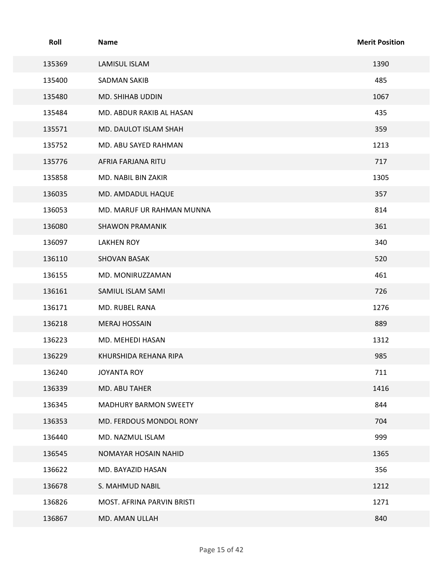| Roll   | <b>Name</b>                | <b>Merit Position</b> |
|--------|----------------------------|-----------------------|
| 135369 | LAMISUL ISLAM              | 1390                  |
| 135400 | <b>SADMAN SAKIB</b>        | 485                   |
| 135480 | MD. SHIHAB UDDIN           | 1067                  |
| 135484 | MD. ABDUR RAKIB AL HASAN   | 435                   |
| 135571 | MD. DAULOT ISLAM SHAH      | 359                   |
| 135752 | MD. ABU SAYED RAHMAN       | 1213                  |
| 135776 | AFRIA FARJANA RITU         | 717                   |
| 135858 | MD. NABIL BIN ZAKIR        | 1305                  |
| 136035 | MD. AMDADUL HAQUE          | 357                   |
| 136053 | MD. MARUF UR RAHMAN MUNNA  | 814                   |
| 136080 | <b>SHAWON PRAMANIK</b>     | 361                   |
| 136097 | LAKHEN ROY                 | 340                   |
| 136110 | <b>SHOVAN BASAK</b>        | 520                   |
| 136155 | MD. MONIRUZZAMAN           | 461                   |
| 136161 | SAMIUL ISLAM SAMI          | 726                   |
| 136171 | MD. RUBEL RANA             | 1276                  |
| 136218 | MERAJ HOSSAIN              | 889                   |
| 136223 | MD. MEHEDI HASAN           | 1312                  |
| 136229 | KHURSHIDA REHANA RIPA      | 985                   |
| 136240 | <b>JOYANTA ROY</b>         | 711                   |
| 136339 | MD. ABU TAHER              | 1416                  |
| 136345 | MADHURY BARMON SWEETY      | 844                   |
| 136353 | MD. FERDOUS MONDOL RONY    | 704                   |
| 136440 | MD. NAZMUL ISLAM           | 999                   |
| 136545 | NOMAYAR HOSAIN NAHID       | 1365                  |
| 136622 | MD. BAYAZID HASAN          | 356                   |
| 136678 | S. MAHMUD NABIL            | 1212                  |
| 136826 | MOST. AFRINA PARVIN BRISTI | 1271                  |
| 136867 | MD. AMAN ULLAH             | 840                   |
|        | Page 15 of 42              |                       |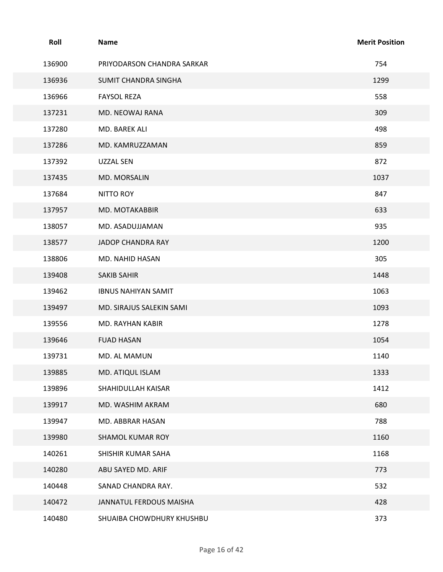| Roll   | Name                       | <b>Merit Position</b> |
|--------|----------------------------|-----------------------|
| 136900 | PRIYODARSON CHANDRA SARKAR | 754                   |
| 136936 | SUMIT CHANDRA SINGHA       | 1299                  |
| 136966 | <b>FAYSOL REZA</b>         | 558                   |
| 137231 | MD. NEOWAJ RANA            | 309                   |
| 137280 | MD. BAREK ALI              | 498                   |
| 137286 | MD. KAMRUZZAMAN            | 859                   |
| 137392 | UZZAL SEN                  | 872                   |
| 137435 | MD. MORSALIN               | 1037                  |
| 137684 | <b>NITTO ROY</b>           | 847                   |
| 137957 | MD. MOTAKABBIR             | 633                   |
| 138057 | MD. ASADUJJAMAN            | 935                   |
| 138577 | JADOP CHANDRA RAY          | 1200                  |
| 138806 | MD. NAHID HASAN            | 305                   |
| 139408 | SAKIB SAHIR                | 1448                  |
| 139462 | <b>IBNUS NAHIYAN SAMIT</b> | 1063                  |
| 139497 | MD. SIRAJUS SALEKIN SAMI   | 1093                  |
| 139556 | MD. RAYHAN KABIR           | 1278                  |
| 139646 | <b>FUAD HASAN</b>          | 1054                  |
| 139731 | MD. AL MAMUN               | 1140                  |
| 139885 | MD. ATIQUL ISLAM           | 1333                  |
| 139896 | SHAHIDULLAH KAISAR         | 1412                  |
| 139917 | MD. WASHIM AKRAM           | 680                   |
| 139947 | MD. ABBRAR HASAN           | 788                   |
| 139980 | SHAMOL KUMAR ROY           | 1160                  |
| 140261 | SHISHIR KUMAR SAHA         | 1168                  |
| 140280 | ABU SAYED MD. ARIF         | 773                   |
| 140448 | SANAD CHANDRA RAY.         | 532                   |
| 140472 | JANNATUL FERDOUS MAISHA    | 428                   |
| 140480 | SHUAIBA CHOWDHURY KHUSHBU  | 373                   |
|        |                            |                       |
|        | Page 16 of 42              |                       |
|        |                            |                       |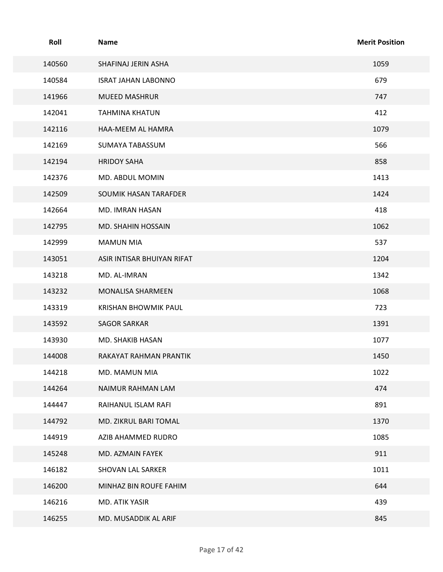| Roll             | <b>Name</b>                           | <b>Merit Position</b> |
|------------------|---------------------------------------|-----------------------|
| 140560           | SHAFINAJ JERIN ASHA                   | 1059                  |
| 140584           | <b>ISRAT JAHAN LABONNO</b>            | 679                   |
| 141966           | <b>MUEED MASHRUR</b>                  | 747                   |
| 142041           | <b>TAHMINA KHATUN</b>                 | 412                   |
| 142116           | HAA-MEEM AL HAMRA                     | 1079                  |
| 142169           | SUMAYA TABASSUM                       | 566                   |
| 142194           | <b>HRIDOY SAHA</b>                    | 858                   |
| 142376           | MD. ABDUL MOMIN                       | 1413                  |
| 142509           | SOUMIK HASAN TARAFDER                 | 1424<br>418           |
| 142664<br>142795 | MD. IMRAN HASAN<br>MD. SHAHIN HOSSAIN | 1062                  |
| 142999           | <b>MAMUN MIA</b>                      | 537                   |
| 143051           | ASIR INTISAR BHUIYAN RIFAT            | 1204                  |
| 143218           | MD. AL-IMRAN                          | 1342                  |
| 143232           | MONALISA SHARMEEN                     | 1068                  |
| 143319           | KRISHAN BHOWMIK PAUL                  | 723                   |
| 143592           | <b>SAGOR SARKAR</b>                   | 1391                  |
| 143930           | MD. SHAKIB HASAN                      | 1077                  |
| 144008           | RAKAYAT RAHMAN PRANTIK                | 1450                  |
| 144218           | MD. MAMUN MIA                         | 1022                  |
| 144264           | NAIMUR RAHMAN LAM                     | 474                   |
| 144447           | RAIHANUL ISLAM RAFI                   | 891                   |
| 144792           | MD. ZIKRUL BARI TOMAL                 | 1370                  |
| 144919           | AZIB AHAMMED RUDRO                    | 1085                  |
| 145248           | MD. AZMAIN FAYEK                      | 911                   |
| 146182           | SHOVAN LAL SARKER                     | 1011                  |
| 146200           | MINHAZ BIN ROUFE FAHIM                | 644                   |
| 146216           | MD. ATIK YASIR                        | 439                   |
| 146255           | MD. MUSADDIK AL ARIF                  | 845                   |
|                  | Page 17 of 42                         |                       |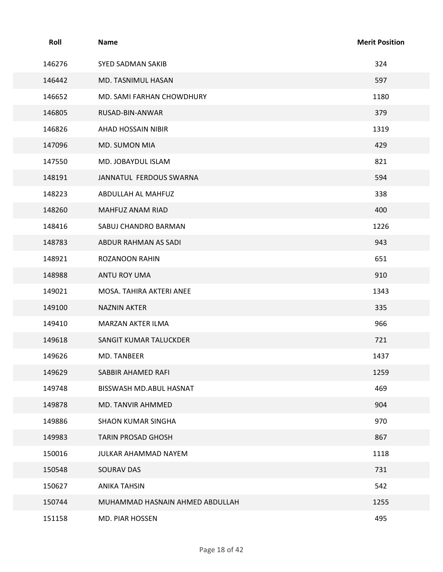| Roll   | <b>Name</b>                     | <b>Merit Position</b> |
|--------|---------------------------------|-----------------------|
| 146276 | SYED SADMAN SAKIB               | 324                   |
| 146442 | MD. TASNIMUL HASAN              | 597                   |
| 146652 | MD. SAMI FARHAN CHOWDHURY       | 1180                  |
| 146805 | RUSAD-BIN-ANWAR                 | 379                   |
| 146826 | AHAD HOSSAIN NIBIR              | 1319                  |
| 147096 | MD. SUMON MIA                   | 429                   |
| 147550 | MD. JOBAYDUL ISLAM              | 821                   |
| 148191 | JANNATUL FERDOUS SWARNA         | 594                   |
| 148223 | ABDULLAH AL MAHFUZ              | 338                   |
| 148260 | MAHFUZ ANAM RIAD                | 400                   |
| 148416 | SABUJ CHANDRO BARMAN            | 1226                  |
| 148783 | ABDUR RAHMAN AS SADI            | 943                   |
| 148921 | ROZANOON RAHIN                  | 651                   |
| 148988 | ANTU ROY UMA                    | 910                   |
| 149021 | MOSA. TAHIRA AKTERI ANEE        | 1343                  |
| 149100 | <b>NAZNIN AKTER</b>             | 335                   |
| 149410 | MARZAN AKTER ILMA               | 966                   |
| 149618 | SANGIT KUMAR TALUCKDER          | 721                   |
| 149626 | MD. TANBEER                     | 1437                  |
| 149629 | SABBIR AHAMED RAFI              | 1259                  |
| 149748 | BISSWASH MD.ABUL HASNAT         | 469                   |
| 149878 | MD. TANVIR AHMMED               | 904                   |
| 149886 | SHAON KUMAR SINGHA              | 970                   |
| 149983 | TARIN PROSAD GHOSH              | 867                   |
| 150016 | JULKAR AHAMMAD NAYEM            | 1118                  |
| 150548 | SOURAV DAS                      | 731                   |
| 150627 | <b>ANIKA TAHSIN</b>             | 542                   |
| 150744 | MUHAMMAD HASNAIN AHMED ABDULLAH | 1255                  |
| 151158 | MD. PIAR HOSSEN                 | 495                   |
|        | Page 18 of 42                   |                       |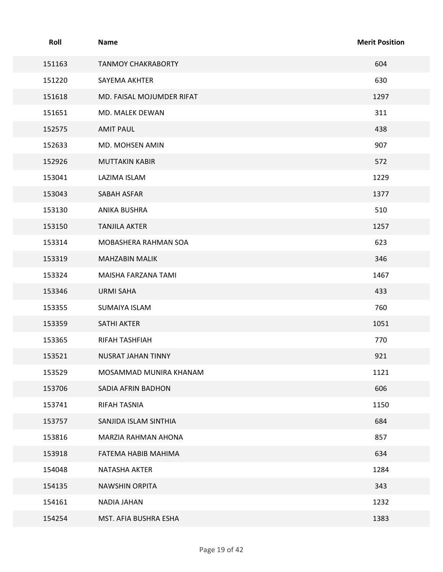| Roll   | <b>Name</b>               | <b>Merit Position</b> |
|--------|---------------------------|-----------------------|
| 151163 | <b>TANMOY CHAKRABORTY</b> | 604                   |
| 151220 | SAYEMA AKHTER             | 630                   |
| 151618 | MD. FAISAL MOJUMDER RIFAT | 1297                  |
| 151651 | MD. MALEK DEWAN           | 311                   |
| 152575 | <b>AMIT PAUL</b>          | 438                   |
| 152633 | MD. MOHSEN AMIN           | 907                   |
| 152926 | <b>MUTTAKIN KABIR</b>     | 572                   |
| 153041 | LAZIMA ISLAM              | 1229                  |
| 153043 | SABAH ASFAR               | 1377                  |
| 153130 | ANIKA BUSHRA              | 510                   |
| 153150 | <b>TANJILA AKTER</b>      | 1257                  |
| 153314 | MOBASHERA RAHMAN SOA      | 623                   |
| 153319 | <b>MAHZABIN MALIK</b>     | 346                   |
| 153324 | MAISHA FARZANA TAMI       | 1467                  |
| 153346 | URMI SAHA                 | 433                   |
| 153355 | SUMAIYA ISLAM             | 760                   |
| 153359 | SATHI AKTER               | 1051                  |
| 153365 | RIFAH TASHFIAH            | 770                   |
| 153521 | NUSRAT JAHAN TINNY        | 921                   |
| 153529 | MOSAMMAD MUNIRA KHANAM    | 1121                  |
| 153706 | SADIA AFRIN BADHON        | 606                   |
| 153741 | RIFAH TASNIA              | 1150                  |
| 153757 | SANJIDA ISLAM SINTHIA     | 684                   |
| 153816 | MARZIA RAHMAN AHONA       | 857                   |
| 153918 | FATEMA HABIB MAHIMA       | 634                   |
| 154048 | NATASHA AKTER             | 1284                  |
| 154135 | NAWSHIN ORPITA            | 343                   |
| 154161 | NADIA JAHAN               | 1232                  |
| 154254 | MST. AFIA BUSHRA ESHA     | 1383                  |
|        | Page 19 of 42             |                       |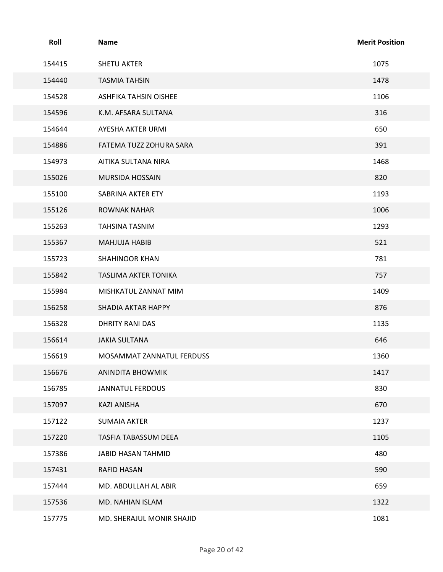| Roll   | Name                      | <b>Merit Position</b> |
|--------|---------------------------|-----------------------|
| 154415 | <b>SHETU AKTER</b>        | 1075                  |
| 154440 | <b>TASMIA TAHSIN</b>      | 1478                  |
| 154528 | ASHFIKA TAHSIN OISHEE     | 1106                  |
| 154596 | K.M. AFSARA SULTANA       | 316                   |
| 154644 | AYESHA AKTER URMI         | 650                   |
| 154886 | FATEMA TUZZ ZOHURA SARA   | 391                   |
| 154973 | AITIKA SULTANA NIRA       | 1468                  |
| 155026 | MURSIDA HOSSAIN           | 820                   |
| 155100 | SABRINA AKTER ETY         | 1193                  |
| 155126 | ROWNAK NAHAR              | 1006                  |
| 155263 | TAHSINA TASNIM            | 1293                  |
| 155367 | MAHJUJA HABIB             | 521                   |
| 155723 | SHAHINOOR KHAN            | 781                   |
| 155842 | TASLIMA AKTER TONIKA      | 757                   |
| 155984 | MISHKATUL ZANNAT MIM      | 1409                  |
| 156258 | SHADIA AKTAR HAPPY        | 876                   |
| 156328 | DHRITY RANI DAS           | 1135                  |
| 156614 | <b>JAKIA SULTANA</b>      | 646                   |
| 156619 | MOSAMMAT ZANNATUL FERDUSS | 1360                  |
| 156676 | ANINDITA BHOWMIK          | 1417                  |
| 156785 | <b>JANNATUL FERDOUS</b>   | 830                   |
| 157097 | KAZI ANISHA               | 670                   |
| 157122 | <b>SUMAIA AKTER</b>       | 1237                  |
| 157220 | TASFIA TABASSUM DEEA      | 1105                  |
| 157386 | JABID HASAN TAHMID        | 480                   |
| 157431 | RAFID HASAN               | 590                   |
| 157444 | MD. ABDULLAH AL ABIR      | 659                   |
| 157536 | MD. NAHIAN ISLAM          | 1322                  |
| 157775 | MD. SHERAJUL MONIR SHAJID | 1081                  |
|        |                           |                       |
|        | Page 20 of 42             |                       |
|        |                           |                       |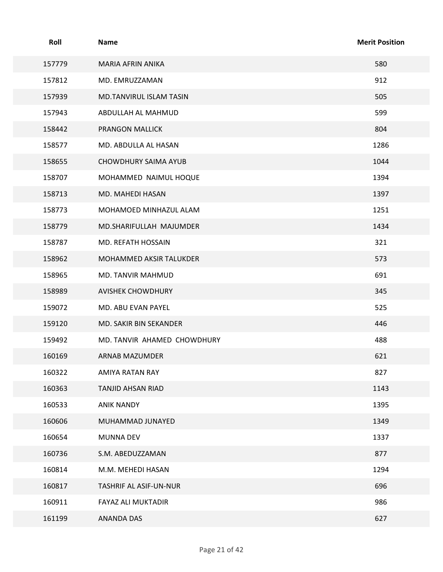| Roll   | <b>Name</b>                 | <b>Merit Position</b> |
|--------|-----------------------------|-----------------------|
| 157779 | MARIA AFRIN ANIKA           | 580                   |
| 157812 | MD. EMRUZZAMAN              | 912                   |
| 157939 | MD.TANVIRUL ISLAM TASIN     | 505                   |
| 157943 | ABDULLAH AL MAHMUD          | 599                   |
| 158442 | PRANGON MALLICK             | 804                   |
| 158577 | MD. ABDULLA AL HASAN        | 1286                  |
| 158655 | CHOWDHURY SAIMA AYUB        | 1044                  |
| 158707 | MOHAMMED NAIMUL HOQUE       | 1394                  |
| 158713 | MD. MAHEDI HASAN            | 1397                  |
| 158773 | MOHAMOED MINHAZUL ALAM      | 1251                  |
| 158779 | MD.SHARIFULLAH MAJUMDER     | 1434                  |
| 158787 | MD. REFATH HOSSAIN          | 321                   |
| 158962 | MOHAMMED AKSIR TALUKDER     | 573                   |
| 158965 | MD. TANVIR MAHMUD           | 691                   |
| 158989 | <b>AVISHEK CHOWDHURY</b>    | 345                   |
| 159072 | MD. ABU EVAN PAYEL          | 525                   |
| 159120 | MD. SAKIR BIN SEKANDER      | 446                   |
| 159492 | MD. TANVIR AHAMED CHOWDHURY | 488                   |
| 160169 | ARNAB MAZUMDER              | 621                   |
| 160322 | AMIYA RATAN RAY             | 827                   |
| 160363 | TANJID AHSAN RIAD           | 1143                  |
| 160533 | <b>ANIK NANDY</b>           | 1395                  |
| 160606 | MUHAMMAD JUNAYED            | 1349                  |
| 160654 | MUNNA DEV                   | 1337                  |
| 160736 | S.M. ABEDUZZAMAN            | 877                   |
| 160814 | M.M. MEHEDI HASAN           | 1294                  |
| 160817 | TASHRIF AL ASIF-UN-NUR      | 696                   |
| 160911 | FAYAZ ALI MUKTADIR          | 986                   |
| 161199 | ANANDA DAS                  | 627                   |
|        | Page 21 of 42               |                       |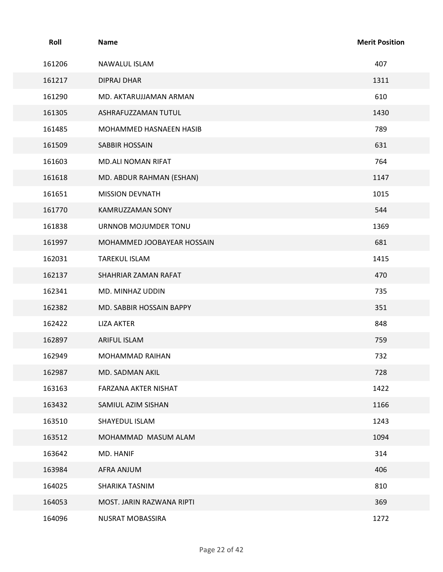| Roll   | <b>Name</b>                | <b>Merit Position</b> |
|--------|----------------------------|-----------------------|
| 161206 | NAWALUL ISLAM              | 407                   |
| 161217 | <b>DIPRAJ DHAR</b>         | 1311                  |
| 161290 | MD. AKTARUJJAMAN ARMAN     | 610                   |
| 161305 | ASHRAFUZZAMAN TUTUL        | 1430                  |
| 161485 | MOHAMMED HASNAEEN HASIB    | 789                   |
| 161509 | SABBIR HOSSAIN             | 631                   |
| 161603 | MD.ALI NOMAN RIFAT         | 764                   |
| 161618 | MD. ABDUR RAHMAN (ESHAN)   | 1147                  |
| 161651 | <b>MISSION DEVNATH</b>     | 1015                  |
| 161770 | KAMRUZZAMAN SONY           | 544                   |
| 161838 | URNNOB MOJUMDER TONU       | 1369                  |
| 161997 | MOHAMMED JOOBAYEAR HOSSAIN | 681                   |
| 162031 | TAREKUL ISLAM              | 1415                  |
| 162137 | SHAHRIAR ZAMAN RAFAT       | 470                   |
| 162341 | MD. MINHAZ UDDIN           | 735                   |
| 162382 | MD. SABBIR HOSSAIN BAPPY   | 351                   |
| 162422 | <b>LIZA AKTER</b>          | 848                   |
| 162897 | ARIFUL ISLAM               | 759                   |
| 162949 | MOHAMMAD RAIHAN            | 732                   |
| 162987 | MD. SADMAN AKIL            | 728                   |
| 163163 | FARZANA AKTER NISHAT       | 1422                  |
| 163432 | SAMIUL AZIM SISHAN         | 1166                  |
| 163510 | SHAYEDUL ISLAM             | 1243                  |
| 163512 | MOHAMMAD MASUM ALAM        | 1094                  |
| 163642 | MD. HANIF                  | 314                   |
| 163984 | AFRA ANJUM                 | 406                   |
| 164025 | SHARIKA TASNIM             | 810                   |
| 164053 | MOST. JARIN RAZWANA RIPTI  | 369                   |
| 164096 | NUSRAT MOBASSIRA           | 1272                  |
|        | Page 22 of 42              |                       |
|        |                            |                       |
|        |                            |                       |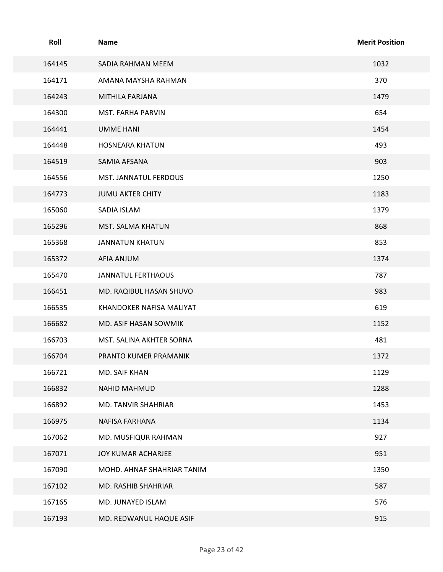| Roll   | <b>Name</b>                | <b>Merit Position</b> |
|--------|----------------------------|-----------------------|
| 164145 | SADIA RAHMAN MEEM          | 1032                  |
| 164171 | AMANA MAYSHA RAHMAN        | 370                   |
| 164243 | MITHILA FARJANA            | 1479                  |
| 164300 | MST. FARHA PARVIN          | 654                   |
| 164441 | <b>UMME HANI</b>           | 1454                  |
| 164448 | <b>HOSNEARA KHATUN</b>     | 493                   |
| 164519 | SAMIA AFSANA               | 903                   |
| 164556 | MST. JANNATUL FERDOUS      | 1250                  |
| 164773 | JUMU AKTER CHITY           | 1183                  |
| 165060 | SADIA ISLAM                | 1379                  |
| 165296 | MST. SALMA KHATUN          | 868                   |
| 165368 | JANNATUN KHATUN            | 853                   |
| 165372 | AFIA ANJUM                 | 1374                  |
| 165470 | JANNATUL FERTHAOUS         | 787                   |
| 166451 | MD. RAQIBUL HASAN SHUVO    | 983                   |
| 166535 | KHANDOKER NAFISA MALIYAT   | 619                   |
| 166682 | MD. ASIF HASAN SOWMIK      | 1152                  |
| 166703 | MST. SALINA AKHTER SORNA   | 481                   |
| 166704 | PRANTO KUMER PRAMANIK      | 1372                  |
| 166721 | MD. SAIF KHAN              | 1129                  |
| 166832 | NAHID MAHMUD               | 1288                  |
| 166892 | MD. TANVIR SHAHRIAR        | 1453                  |
| 166975 | NAFISA FARHANA             | 1134                  |
| 167062 | MD. MUSFIQUR RAHMAN        | 927                   |
| 167071 | JOY KUMAR ACHARJEE         | 951                   |
| 167090 | MOHD. AHNAF SHAHRIAR TANIM | 1350                  |
| 167102 | MD. RASHIB SHAHRIAR        | 587                   |
| 167165 | MD. JUNAYED ISLAM          | 576                   |
| 167193 | MD. REDWANUL HAQUE ASIF    | 915                   |
|        | Page 23 of 42              |                       |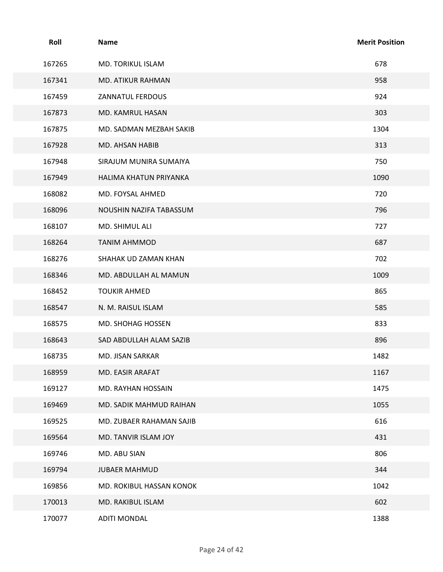| Roll   | <b>Name</b>              | <b>Merit Position</b> |
|--------|--------------------------|-----------------------|
| 167265 | MD. TORIKUL ISLAM        | 678                   |
| 167341 | MD. ATIKUR RAHMAN        | 958                   |
| 167459 | ZANNATUL FERDOUS         | 924                   |
| 167873 | MD. KAMRUL HASAN         | 303                   |
| 167875 | MD. SADMAN MEZBAH SAKIB  | 1304                  |
| 167928 | MD. AHSAN HABIB          | 313                   |
| 167948 | SIRAJUM MUNIRA SUMAIYA   | 750                   |
| 167949 | HALIMA KHATUN PRIYANKA   | 1090                  |
| 168082 | MD. FOYSAL AHMED         | 720                   |
| 168096 | NOUSHIN NAZIFA TABASSUM  | 796                   |
| 168107 | MD. SHIMUL ALI           | 727                   |
| 168264 | <b>TANIM AHMMOD</b>      | 687                   |
| 168276 | SHAHAK UD ZAMAN KHAN     | 702                   |
| 168346 | MD. ABDULLAH AL MAMUN    | 1009                  |
| 168452 | <b>TOUKIR AHMED</b>      | 865                   |
| 168547 | N. M. RAISUL ISLAM       | 585                   |
| 168575 | MD. SHOHAG HOSSEN        | 833                   |
| 168643 | SAD ABDULLAH ALAM SAZIB  | 896                   |
| 168735 | MD. JISAN SARKAR         | 1482                  |
| 168959 | MD. EASIR ARAFAT         | 1167                  |
| 169127 | MD. RAYHAN HOSSAIN       | 1475                  |
| 169469 | MD. SADIK MAHMUD RAIHAN  | 1055                  |
| 169525 | MD. ZUBAER RAHAMAN SAJIB | 616                   |
| 169564 | MD. TANVIR ISLAM JOY     | 431                   |
| 169746 | MD. ABU SIAN             | 806                   |
| 169794 | JUBAER MAHMUD            | 344                   |
| 169856 | MD. ROKIBUL HASSAN KONOK | 1042                  |
| 170013 | MD. RAKIBUL ISLAM        | 602                   |
| 170077 | <b>ADITI MONDAL</b>      | 1388                  |
|        |                          |                       |
|        | Page 24 of 42            |                       |
|        |                          |                       |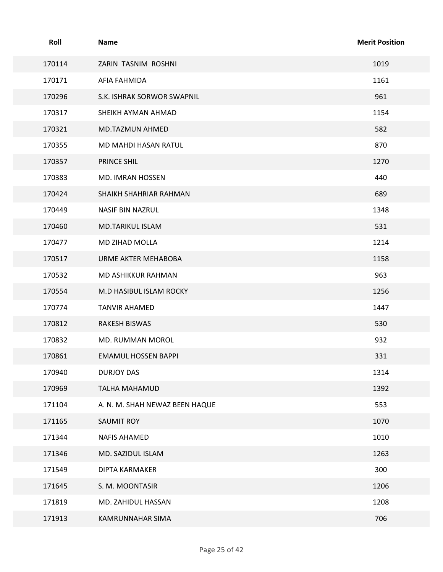| Roll   | Name                           | <b>Merit Position</b> |
|--------|--------------------------------|-----------------------|
| 170114 | ZARIN TASNIM ROSHNI            | 1019                  |
| 170171 | AFIA FAHMIDA                   | 1161                  |
| 170296 | S.K. ISHRAK SORWOR SWAPNIL     | 961                   |
| 170317 | SHEIKH AYMAN AHMAD             | 1154                  |
| 170321 | MD.TAZMUN AHMED                | 582                   |
| 170355 | MD MAHDI HASAN RATUL           | 870                   |
| 170357 | PRINCE SHIL                    | 1270                  |
| 170383 | MD. IMRAN HOSSEN               | 440                   |
| 170424 | SHAIKH SHAHRIAR RAHMAN         | 689                   |
| 170449 | NASIF BIN NAZRUL               | 1348                  |
| 170460 | MD.TARIKUL ISLAM               | 531                   |
| 170477 | MD ZIHAD MOLLA                 | 1214                  |
| 170517 | URME AKTER MEHABOBA            | 1158                  |
| 170532 | MD ASHIKKUR RAHMAN             | 963                   |
| 170554 | M.D HASIBUL ISLAM ROCKY        | 1256                  |
| 170774 | <b>TANVIR AHAMED</b>           | 1447                  |
| 170812 | RAKESH BISWAS                  | 530                   |
| 170832 | MD. RUMMAN MOROL               | 932                   |
| 170861 | <b>EMAMUL HOSSEN BAPPI</b>     | 331                   |
| 170940 | DURJOY DAS                     | 1314                  |
| 170969 | TALHA MAHAMUD                  | 1392                  |
| 171104 | A. N. M. SHAH NEWAZ BEEN HAQUE | 553                   |
| 171165 | SAUMIT ROY                     | 1070                  |
| 171344 | NAFIS AHAMED                   | 1010                  |
| 171346 | MD. SAZIDUL ISLAM              | 1263                  |
| 171549 | DIPTA KARMAKER                 | 300                   |
| 171645 | S. M. MOONTASIR                | 1206                  |
| 171819 | MD. ZAHIDUL HASSAN             | 1208                  |
| 171913 | KAMRUNNAHAR SIMA               | 706                   |
|        | Page 25 of 42                  |                       |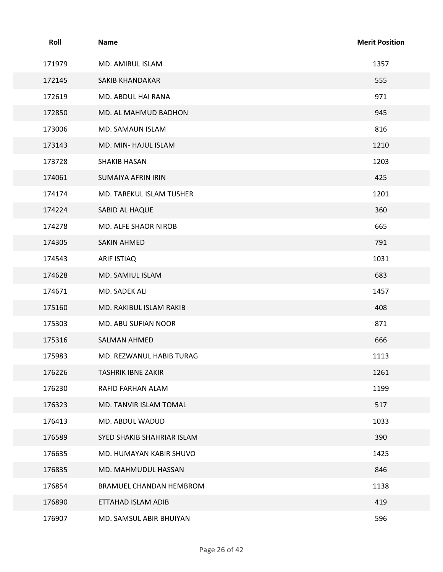| Roll<br><b>Merit Position</b><br>Name<br>171979<br>MD. AMIRUL ISLAM<br>1357<br>555<br>172145<br>SAKIB KHANDAKAR<br>971<br>172619<br>MD. ABDUL HAI RANA<br>945<br>172850<br>MD. AL MAHMUD BADHON |
|-------------------------------------------------------------------------------------------------------------------------------------------------------------------------------------------------|
|                                                                                                                                                                                                 |
|                                                                                                                                                                                                 |
|                                                                                                                                                                                                 |
|                                                                                                                                                                                                 |
|                                                                                                                                                                                                 |
|                                                                                                                                                                                                 |
|                                                                                                                                                                                                 |
|                                                                                                                                                                                                 |
| 816<br>173006<br>MD. SAMAUN ISLAM                                                                                                                                                               |
| 1210<br>173143<br>MD. MIN- HAJUL ISLAM                                                                                                                                                          |
| 1203<br>173728<br><b>SHAKIB HASAN</b>                                                                                                                                                           |
| 425<br>174061<br><b>SUMAIYA AFRIN IRIN</b>                                                                                                                                                      |
| 1201<br>174174<br>MD. TAREKUL ISLAM TUSHER                                                                                                                                                      |
| 360<br>174224<br>SABID AL HAQUE                                                                                                                                                                 |
| 665<br>174278<br>MD. ALFE SHAOR NIROB                                                                                                                                                           |
| 791<br>174305<br>SAKIN AHMED                                                                                                                                                                    |
| 1031<br>174543<br>ARIF ISTIAQ                                                                                                                                                                   |
| 683<br>174628<br>MD. SAMIUL ISLAM                                                                                                                                                               |
| 1457<br>174671<br>MD. SADEK ALI                                                                                                                                                                 |
| 408<br>175160<br>MD. RAKIBUL ISLAM RAKIB                                                                                                                                                        |
| 871<br>175303<br>MD. ABU SUFIAN NOOR                                                                                                                                                            |
| 175316<br>666<br>SALMAN AHMED                                                                                                                                                                   |
| 1113<br>175983<br>MD. REZWANUL HABIB TURAG                                                                                                                                                      |
| 176226<br><b>TASHRIK IBNE ZAKIR</b><br>1261                                                                                                                                                     |
| 1199<br>176230<br>RAFID FARHAN ALAM                                                                                                                                                             |
| 176323<br>517<br>MD. TANVIR ISLAM TOMAL                                                                                                                                                         |
| 1033<br>176413<br>MD. ABDUL WADUD                                                                                                                                                               |
| 390<br>176589<br>SYED SHAKIB SHAHRIAR ISLAM                                                                                                                                                     |
| 1425<br>176635<br>MD. HUMAYAN KABIR SHUVO                                                                                                                                                       |
| 846<br>176835<br>MD. MAHMUDUL HASSAN                                                                                                                                                            |
| 176854<br>1138<br>BRAMUEL CHANDAN HEMBROM                                                                                                                                                       |
| 419<br>176890<br>ETTAHAD ISLAM ADIB                                                                                                                                                             |
| 596<br>176907<br>MD. SAMSUL ABIR BHUIYAN                                                                                                                                                        |
| Page 26 of 42                                                                                                                                                                                   |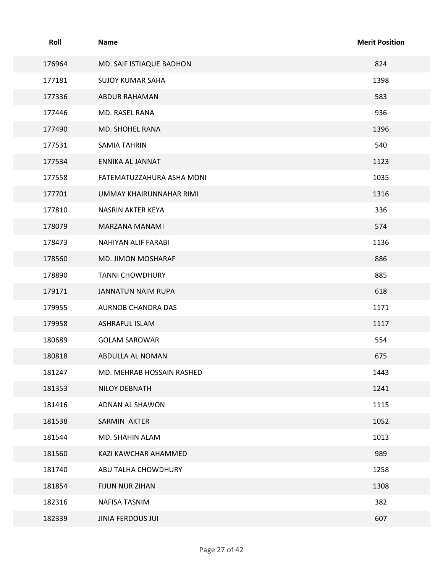| Roll   | <b>Name</b>               | <b>Merit Position</b> |
|--------|---------------------------|-----------------------|
| 176964 | MD. SAIF ISTIAQUE BADHON  | 824                   |
| 177181 | <b>SUJOY KUMAR SAHA</b>   | 1398                  |
| 177336 | ABDUR RAHAMAN             | 583                   |
| 177446 | MD. RASEL RANA            | 936                   |
| 177490 | MD. SHOHEL RANA           | 1396                  |
| 177531 | SAMIA TAHRIN              | 540                   |
| 177534 | ENNIKA AL JANNAT          | 1123                  |
| 177558 | FATEMATUZZAHURA ASHA MONI | 1035                  |
| 177701 | UMMAY KHAIRUNNAHAR RIMI   | 1316                  |
| 177810 | NASRIN AKTER KEYA         | 336                   |
| 178079 | MARZANA MANAMI            | 574                   |
| 178473 | NAHIYAN ALIF FARABI       | 1136                  |
| 178560 | MD. JIMON MOSHARAF        | 886                   |
| 178890 | <b>TANNI CHOWDHURY</b>    | 885                   |
| 179171 | JANNATUN NAIM RUPA        | 618                   |
| 179955 | AURNOB CHANDRA DAS        | 1171                  |
| 179958 | ASHRAFUL ISLAM            | 1117                  |
| 180689 | <b>GOLAM SAROWAR</b>      | 554                   |
| 180818 | ABDULLA AL NOMAN          | 675                   |
| 181247 | MD. MEHRAB HOSSAIN RASHED | 1443                  |
| 181353 | NILOY DEBNATH             | 1241                  |
| 181416 | ADNAN AL SHAWON           | 1115                  |
| 181538 | SARMIN AKTER              | 1052                  |
| 181544 | MD. SHAHIN ALAM           | 1013                  |
| 181560 | KAZI KAWCHAR AHAMMED      | 989                   |
| 181740 | ABU TALHA CHOWDHURY       | 1258                  |
| 181854 | FIJUN NUR ZIHAN           | 1308                  |
| 182316 | NAFISA TASNIM             | 382                   |
| 182339 | <b>JINIA FERDOUS JUI</b>  | 607                   |
|        | Page 27 of 42             |                       |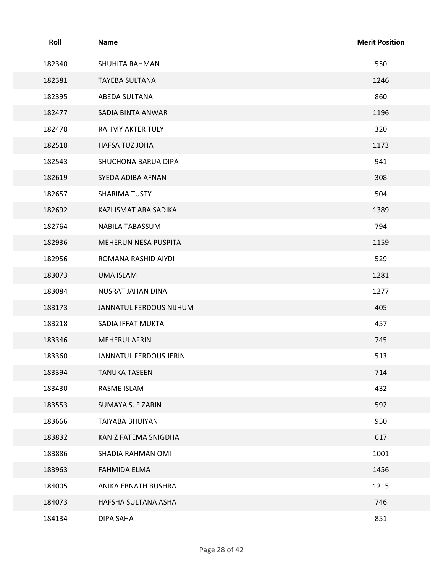| Roll   | Name                    | <b>Merit Position</b> |
|--------|-------------------------|-----------------------|
| 182340 | SHUHITA RAHMAN          | 550                   |
| 182381 | TAYEBA SULTANA          | 1246                  |
| 182395 | ABEDA SULTANA           | 860                   |
| 182477 | SADIA BINTA ANWAR       | 1196                  |
| 182478 | <b>RAHMY AKTER TULY</b> | 320                   |
| 182518 | HAFSA TUZ JOHA          | 1173                  |
| 182543 | SHUCHONA BARUA DIPA     | 941                   |
| 182619 | SYEDA ADIBA AFNAN       | 308                   |
| 182657 | SHARIMA TUSTY           | 504                   |
| 182692 | KAZI ISMAT ARA SADIKA   | 1389                  |
| 182764 | NABILA TABASSUM         | 794                   |
| 182936 | MEHERUN NESA PUSPITA    | 1159                  |
| 182956 | ROMANA RASHID AIYDI     | 529                   |
| 183073 | UMA ISLAM               | 1281                  |
| 183084 | NUSRAT JAHAN DINA       | 1277                  |
| 183173 | JANNATUL FERDOUS NIJHUM | 405                   |
| 183218 | SADIA IFFAT MUKTA       | 457                   |
| 183346 | MEHERUJ AFRIN           | 745                   |
| 183360 | JANNATUL FERDOUS JERIN  | 513                   |
| 183394 | <b>TANUKA TASEEN</b>    | 714                   |
| 183430 | RASME ISLAM             | 432                   |
| 183553 | SUMAYA S. F ZARIN       | 592                   |
| 183666 | TAIYABA BHUIYAN         | 950                   |
| 183832 | KANIZ FATEMA SNIGDHA    | 617                   |
| 183886 | SHADIA RAHMAN OMI       | 1001                  |
| 183963 | FAHMIDA ELMA            | 1456                  |
| 184005 | ANIKA EBNATH BUSHRA     | 1215                  |
| 184073 | HAFSHA SULTANA ASHA     | 746                   |
| 184134 | DIPA SAHA               | 851                   |
|        |                         |                       |
|        | Page 28 of 42           |                       |
|        |                         |                       |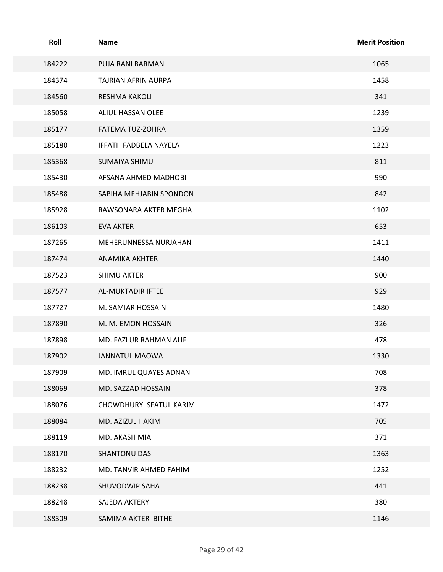| Roll   | Name                    | <b>Merit Position</b> |
|--------|-------------------------|-----------------------|
| 184222 | PUJA RANI BARMAN        | 1065                  |
| 184374 | TAJRIAN AFRIN AURPA     | 1458                  |
| 184560 | RESHMA KAKOLI           | 341                   |
| 185058 | ALIUL HASSAN OLEE       | 1239                  |
| 185177 | FATEMA TUZ-ZOHRA        | 1359                  |
| 185180 | IFFATH FADBELA NAYELA   | 1223                  |
| 185368 | SUMAIYA SHIMU           | 811                   |
| 185430 | AFSANA AHMED MADHOBI    | 990                   |
| 185488 | SABIHA MEHJABIN SPONDON | 842                   |
| 185928 | RAWSONARA AKTER MEGHA   | 1102                  |
| 186103 | <b>EVA AKTER</b>        | 653                   |
| 187265 | MEHERUNNESSA NURJAHAN   | 1411                  |
| 187474 | ANAMIKA AKHTER          | 1440                  |
| 187523 | SHIMU AKTER             | 900                   |
| 187577 | AL-MUKTADIR IFTEE       | 929                   |
| 187727 | M. SAMIAR HOSSAIN       | 1480                  |
| 187890 | M. M. EMON HOSSAIN      | 326                   |
| 187898 | MD. FAZLUR RAHMAN ALIF  | 478                   |
| 187902 | JANNATUL MAOWA          | 1330                  |
| 187909 | MD. IMRUL QUAYES ADNAN  | 708                   |
| 188069 | MD. SAZZAD HOSSAIN      | 378                   |
| 188076 | CHOWDHURY ISFATUL KARIM | 1472                  |
| 188084 | MD. AZIZUL HAKIM        | 705                   |
| 188119 | MD. AKASH MIA           | 371                   |
| 188170 | SHANTONU DAS            | 1363                  |
| 188232 | MD. TANVIR AHMED FAHIM  | 1252                  |
| 188238 | SHUVODWIP SAHA          | 441                   |
| 188248 | SAJEDA AKTERY           | 380                   |
| 188309 | SAMIMA AKTER BITHE      | 1146                  |
|        | Page 29 of 42           |                       |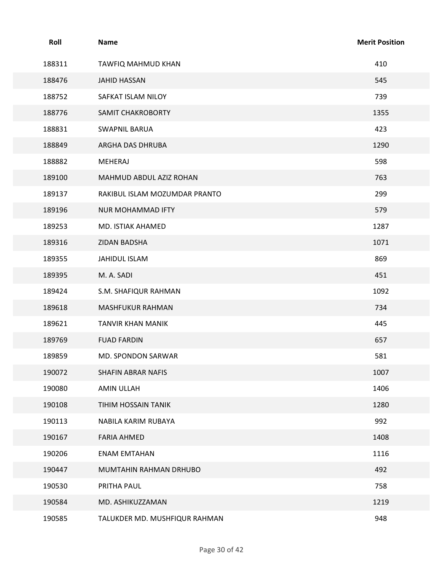| Roll   | Name                          | <b>Merit Position</b> |
|--------|-------------------------------|-----------------------|
| 188311 | TAWFIQ MAHMUD KHAN            | 410                   |
| 188476 | JAHID HASSAN                  | 545                   |
| 188752 | SAFKAT ISLAM NILOY            | 739                   |
| 188776 | <b>SAMIT CHAKROBORTY</b>      | 1355                  |
| 188831 | <b>SWAPNIL BARUA</b>          | 423                   |
| 188849 | ARGHA DAS DHRUBA              | 1290                  |
| 188882 | MEHERAJ                       | 598                   |
| 189100 | MAHMUD ABDUL AZIZ ROHAN       | 763                   |
| 189137 | RAKIBUL ISLAM MOZUMDAR PRANTO | 299                   |
| 189196 | NUR MOHAMMAD IFTY             | 579                   |
| 189253 | MD. ISTIAK AHAMED             | 1287                  |
| 189316 | ZIDAN BADSHA                  | 1071                  |
| 189355 | JAHIDUL ISLAM                 | 869                   |
| 189395 | M. A. SADI                    | 451                   |
| 189424 | S.M. SHAFIQUR RAHMAN          | 1092                  |
| 189618 | MASHFUKUR RAHMAN              | 734                   |
| 189621 | TANVIR KHAN MANIK             | 445                   |
| 189769 | <b>FUAD FARDIN</b>            | 657                   |
| 189859 | MD. SPONDON SARWAR            | 581                   |
| 190072 | SHAFIN ABRAR NAFIS            | 1007                  |
| 190080 | AMIN ULLAH                    | 1406                  |
| 190108 | TIHIM HOSSAIN TANIK           | 1280                  |
| 190113 | NABILA KARIM RUBAYA           | 992                   |
| 190167 | FARIA AHMED                   | 1408                  |
| 190206 | <b>ENAM EMTAHAN</b>           | 1116                  |
| 190447 | MUMTAHIN RAHMAN DRHUBO        | 492                   |
| 190530 | PRITHA PAUL                   | 758                   |
| 190584 | MD. ASHIKUZZAMAN              | 1219                  |
| 190585 | TALUKDER MD. MUSHFIQUR RAHMAN | 948                   |
|        | Page 30 of 42                 |                       |
|        |                               |                       |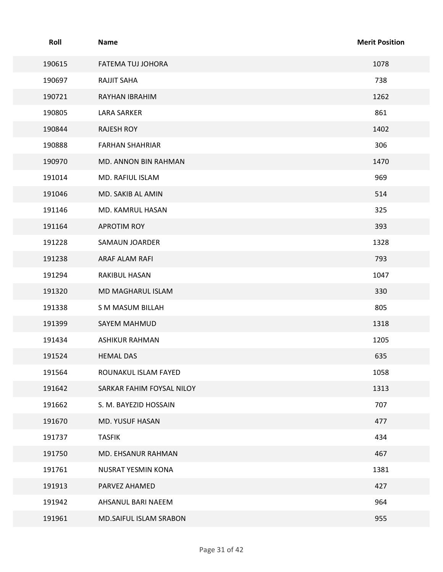| Roll   | <b>Name</b>               | <b>Merit Position</b> |
|--------|---------------------------|-----------------------|
| 190615 | FATEMA TUJ JOHORA         | 1078                  |
| 190697 | <b>RAJJIT SAHA</b>        | 738                   |
| 190721 | RAYHAN IBRAHIM            | 1262                  |
| 190805 | <b>LARA SARKER</b>        | 861                   |
| 190844 | <b>RAJESH ROY</b>         | 1402                  |
| 190888 | <b>FARHAN SHAHRIAR</b>    | 306                   |
| 190970 | MD. ANNON BIN RAHMAN      | 1470                  |
| 191014 | MD. RAFIUL ISLAM          | 969                   |
| 191046 | MD. SAKIB AL AMIN         | 514                   |
| 191146 | MD. KAMRUL HASAN          | 325                   |
| 191164 | APROTIM ROY               | 393                   |
| 191228 | SAMAUN JOARDER            | 1328                  |
| 191238 | ARAF ALAM RAFI            | 793                   |
| 191294 | RAKIBUL HASAN             | 1047                  |
| 191320 | MD MAGHARUL ISLAM         | 330                   |
| 191338 | S M MASUM BILLAH          | 805                   |
| 191399 | SAYEM MAHMUD              | 1318                  |
| 191434 | ASHIKUR RAHMAN            | 1205                  |
| 191524 | <b>HEMAL DAS</b>          | 635                   |
| 191564 | ROUNAKUL ISLAM FAYED      | 1058                  |
| 191642 | SARKAR FAHIM FOYSAL NILOY | 1313                  |
| 191662 | S. M. BAYEZID HOSSAIN     | 707                   |
| 191670 | MD. YUSUF HASAN           | 477                   |
| 191737 | <b>TASFIK</b>             | 434                   |
| 191750 | MD. EHSANUR RAHMAN        | 467                   |
| 191761 | NUSRAT YESMIN KONA        | 1381                  |
| 191913 | PARVEZ AHAMED             | 427                   |
| 191942 | AHSANUL BARI NAEEM        | 964                   |
| 191961 | MD.SAIFUL ISLAM SRABON    | 955                   |
|        | Page 31 of 42             |                       |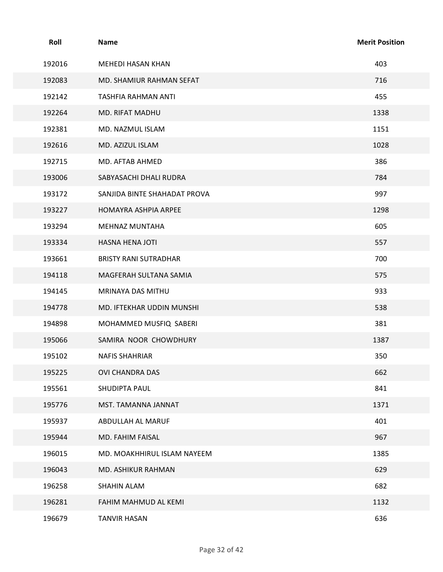| Roll   | <b>Name</b>                  | <b>Merit Position</b> |
|--------|------------------------------|-----------------------|
| 192016 | MEHEDI HASAN KHAN            | 403                   |
| 192083 | MD. SHAMIUR RAHMAN SEFAT     | 716                   |
| 192142 | TASHFIA RAHMAN ANTI          | 455                   |
| 192264 | MD. RIFAT MADHU              | 1338                  |
| 192381 | MD. NAZMUL ISLAM             | 1151                  |
| 192616 | MD. AZIZUL ISLAM             | 1028                  |
| 192715 | MD. AFTAB AHMED              | 386                   |
| 193006 | SABYASACHI DHALI RUDRA       | 784                   |
| 193172 | SANJIDA BINTE SHAHADAT PROVA | 997                   |
| 193227 | HOMAYRA ASHPIA ARPEE         | 1298                  |
| 193294 | MEHNAZ MUNTAHA               | 605                   |
| 193334 | HASNA HENA JOTI              | 557                   |
| 193661 | <b>BRISTY RANI SUTRADHAR</b> | 700                   |
| 194118 | MAGFERAH SULTANA SAMIA       | 575                   |
| 194145 | MRINAYA DAS MITHU            | 933                   |
| 194778 | MD. IFTEKHAR UDDIN MUNSHI    | 538                   |
| 194898 | MOHAMMED MUSFIQ SABERI       | 381                   |
| 195066 | SAMIRA NOOR CHOWDHURY        | 1387                  |
| 195102 | <b>NAFIS SHAHRIAR</b>        | 350                   |
| 195225 | OVI CHANDRA DAS              | 662                   |
| 195561 | SHUDIPTA PAUL                | 841                   |
| 195776 | MST. TAMANNA JANNAT          | 1371                  |
| 195937 | ABDULLAH AL MARUF            | 401                   |
| 195944 | MD. FAHIM FAISAL             | 967                   |
| 196015 | MD. MOAKHHIRUL ISLAM NAYEEM  | 1385                  |
| 196043 | MD. ASHIKUR RAHMAN           | 629                   |
| 196258 | SHAHIN ALAM                  | 682                   |
| 196281 | FAHIM MAHMUD AL KEMI         | 1132                  |
| 196679 | <b>TANVIR HASAN</b>          | 636                   |
|        |                              |                       |
|        | Page 32 of 42                |                       |
|        |                              |                       |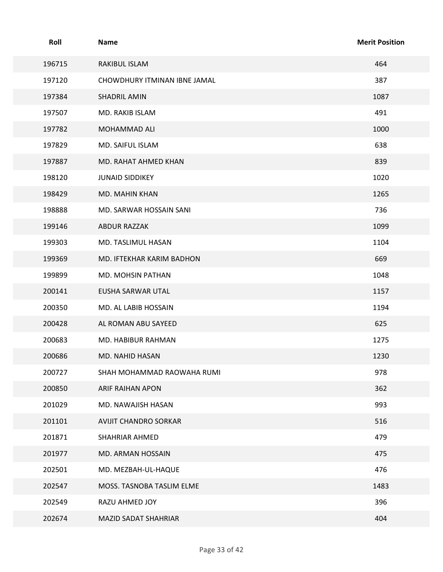| Roll   | Name                         | <b>Merit Position</b> |
|--------|------------------------------|-----------------------|
| 196715 | RAKIBUL ISLAM                | 464                   |
| 197120 | CHOWDHURY ITMINAN IBNE JAMAL | 387                   |
| 197384 | <b>SHADRIL AMIN</b>          | 1087                  |
| 197507 | MD. RAKIB ISLAM              | 491                   |
| 197782 | MOHAMMAD ALI                 | 1000                  |
| 197829 | MD. SAIFUL ISLAM             | 638                   |
| 197887 | MD. RAHAT AHMED KHAN         | 839                   |
| 198120 | <b>JUNAID SIDDIKEY</b>       | 1020                  |
| 198429 | MD. MAHIN KHAN               | 1265                  |
| 198888 | MD. SARWAR HOSSAIN SANI      | 736                   |
| 199146 | ABDUR RAZZAK                 | 1099                  |
| 199303 | MD. TASLIMUL HASAN           | 1104                  |
| 199369 | MD. IFTEKHAR KARIM BADHON    | 669                   |
| 199899 | MD. MOHSIN PATHAN            | 1048                  |
| 200141 | EUSHA SARWAR UTAL            | 1157                  |
| 200350 | MD. AL LABIB HOSSAIN         | 1194                  |
| 200428 | AL ROMAN ABU SAYEED          | 625                   |
| 200683 | MD. HABIBUR RAHMAN           | 1275                  |
| 200686 | MD. NAHID HASAN              | 1230                  |
| 200727 | SHAH MOHAMMAD RAOWAHA RUMI   | 978                   |
| 200850 | ARIF RAIHAN APON             | 362                   |
| 201029 | MD. NAWAJISH HASAN           | 993                   |
| 201101 | AVIJIT CHANDRO SORKAR        | 516                   |
| 201871 | SHAHRIAR AHMED               | 479                   |
| 201977 | MD. ARMAN HOSSAIN            | 475                   |
| 202501 | MD. MEZBAH-UL-HAQUE          | 476                   |
| 202547 | MOSS. TASNOBA TASLIM ELME    | 1483                  |
| 202549 | RAZU AHMED JOY               | 396                   |
| 202674 | MAZID SADAT SHAHRIAR         | 404                   |
|        | Page 33 of 42                |                       |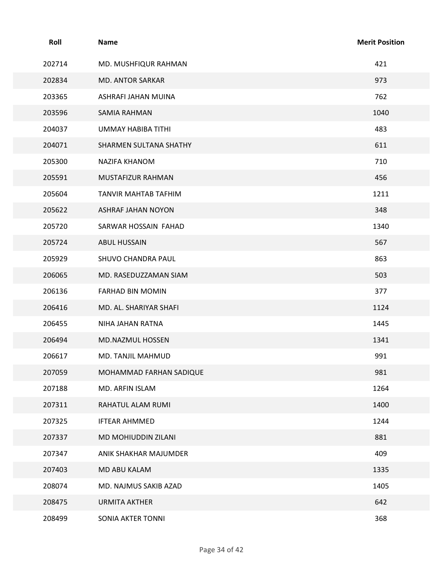| Roll   | <b>Name</b>               | <b>Merit Position</b> |
|--------|---------------------------|-----------------------|
| 202714 | MD. MUSHFIQUR RAHMAN      | 421                   |
| 202834 | MD. ANTOR SARKAR          | 973                   |
| 203365 | ASHRAFI JAHAN MUINA       | 762                   |
| 203596 | SAMIA RAHMAN              | 1040                  |
| 204037 | <b>UMMAY HABIBA TITHI</b> | 483                   |
| 204071 | SHARMEN SULTANA SHATHY    | 611                   |
| 205300 | NAZIFA KHANOM             | 710                   |
| 205591 | MUSTAFIZUR RAHMAN         | 456                   |
| 205604 | TANVIR MAHTAB TAFHIM      | 1211                  |
| 205622 | ASHRAF JAHAN NOYON        | 348                   |
| 205720 | SARWAR HOSSAIN FAHAD      | 1340                  |
| 205724 | ABUL HUSSAIN              | 567                   |
| 205929 | SHUVO CHANDRA PAUL        | 863                   |
| 206065 | MD. RASEDUZZAMAN SIAM     | 503                   |
| 206136 | FARHAD BIN MOMIN          | 377                   |
| 206416 | MD. AL. SHARIYAR SHAFI    | 1124                  |
| 206455 | NIHA JAHAN RATNA          | 1445                  |
| 206494 | MD.NAZMUL HOSSEN          | 1341                  |
| 206617 | MD. TANJIL MAHMUD         | 991                   |
| 207059 | MOHAMMAD FARHAN SADIQUE   | 981                   |
| 207188 | MD. ARFIN ISLAM           | 1264                  |
| 207311 | RAHATUL ALAM RUMI         | 1400                  |
| 207325 | IFTEAR AHMMED             | 1244                  |
| 207337 | MD MOHIUDDIN ZILANI       | 881                   |
| 207347 | ANIK SHAKHAR MAJUMDER     | 409                   |
| 207403 | MD ABU KALAM              | 1335                  |
| 208074 | MD. NAJMUS SAKIB AZAD     | 1405                  |
| 208475 | <b>URMITA AKTHER</b>      | 642                   |
| 208499 | SONIA AKTER TONNI         | 368                   |
|        |                           |                       |
|        | Page 34 of 42             |                       |
|        |                           |                       |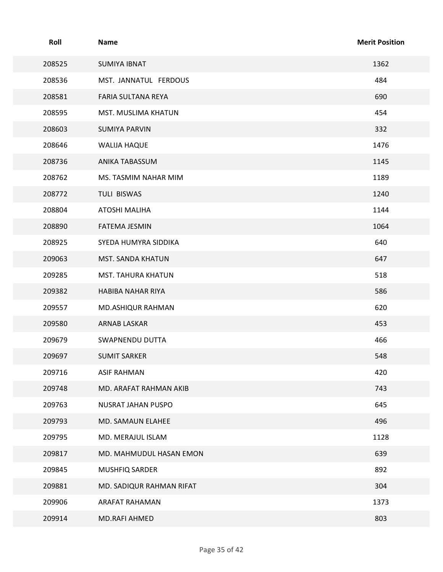| Roll   | Name                     | <b>Merit Position</b> |
|--------|--------------------------|-----------------------|
| 208525 | <b>SUMIYA IBNAT</b>      | 1362                  |
| 208536 | MST. JANNATUL FERDOUS    | 484                   |
| 208581 | FARIA SULTANA REYA       | 690                   |
| 208595 | MST. MUSLIMA KHATUN      | 454                   |
| 208603 | <b>SUMIYA PARVIN</b>     | 332                   |
| 208646 | <b>WALIJA HAQUE</b>      | 1476                  |
| 208736 | ANIKA TABASSUM           | 1145                  |
| 208762 | MS. TASMIM NAHAR MIM     | 1189                  |
| 208772 | TULI BISWAS              | 1240                  |
| 208804 | ATOSHI MALIHA            | 1144                  |
| 208890 | FATEMA JESMIN            | 1064                  |
| 208925 | SYEDA HUMYRA SIDDIKA     | 640                   |
| 209063 | MST. SANDA KHATUN        | 647                   |
| 209285 | MST. TAHURA KHATUN       | 518                   |
| 209382 | HABIBA NAHAR RIYA        | 586                   |
| 209557 | MD.ASHIQUR RAHMAN        | 620                   |
| 209580 | ARNAB LASKAR             | 453                   |
| 209679 | SWAPNENDU DUTTA          | 466                   |
| 209697 | <b>SUMIT SARKER</b>      | 548                   |
| 209716 | <b>ASIF RAHMAN</b>       | 420                   |
| 209748 | MD. ARAFAT RAHMAN AKIB   | 743                   |
| 209763 | NUSRAT JAHAN PUSPO       | 645                   |
| 209793 | MD. SAMAUN ELAHEE        | 496                   |
| 209795 | MD. MERAJUL ISLAM        | 1128                  |
| 209817 | MD. MAHMUDUL HASAN EMON  | 639                   |
| 209845 | MUSHFIQ SARDER           | 892                   |
| 209881 | MD. SADIQUR RAHMAN RIFAT | 304                   |
| 209906 | ARAFAT RAHAMAN           | 1373                  |
| 209914 | MD.RAFI AHMED            | 803                   |
|        | Page 35 of 42            |                       |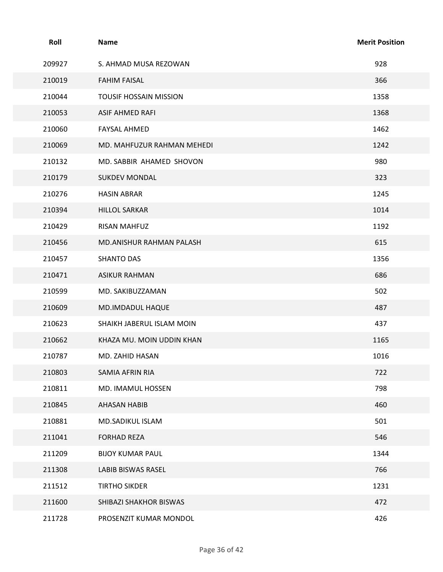| Roll   | Name                          | <b>Merit Position</b> |
|--------|-------------------------------|-----------------------|
| 209927 | S. AHMAD MUSA REZOWAN         | 928                   |
| 210019 | <b>FAHIM FAISAL</b>           | 366                   |
| 210044 | <b>TOUSIF HOSSAIN MISSION</b> | 1358                  |
| 210053 | ASIF AHMED RAFI               | 1368                  |
| 210060 | <b>FAYSAL AHMED</b>           | 1462                  |
| 210069 | MD. MAHFUZUR RAHMAN MEHEDI    | 1242                  |
| 210132 | MD. SABBIR AHAMED SHOVON      | 980                   |
| 210179 | <b>SUKDEV MONDAL</b>          | 323                   |
| 210276 | <b>HASIN ABRAR</b>            | 1245                  |
| 210394 | <b>HILLOL SARKAR</b>          | 1014                  |
| 210429 | RISAN MAHFUZ                  | 1192                  |
| 210456 | MD.ANISHUR RAHMAN PALASH      | 615                   |
| 210457 | <b>SHANTO DAS</b>             | 1356                  |
| 210471 | <b>ASIKUR RAHMAN</b>          | 686                   |
| 210599 | MD. SAKIBUZZAMAN              | 502                   |
| 210609 | MD.IMDADUL HAQUE              | 487                   |
| 210623 | SHAIKH JABERUL ISLAM MOIN     | 437                   |
| 210662 | KHAZA MU. MOIN UDDIN KHAN     | 1165                  |
| 210787 | MD. ZAHID HASAN               | 1016                  |
| 210803 | SAMIA AFRIN RIA               | 722                   |
| 210811 | MD. IMAMUL HOSSEN             | 798                   |
| 210845 | AHASAN HABIB                  | 460                   |
| 210881 | MD.SADIKUL ISLAM              | 501                   |
| 211041 | <b>FORHAD REZA</b>            | 546                   |
| 211209 | <b>BIJOY KUMAR PAUL</b>       | 1344                  |
| 211308 | LABIB BISWAS RASEL            | 766                   |
| 211512 | <b>TIRTHO SIKDER</b>          | 1231                  |
| 211600 | SHIBAZI SHAKHOR BISWAS        | 472                   |
| 211728 | PROSENZIT KUMAR MONDOL        | 426                   |
|        | Page 36 of 42                 |                       |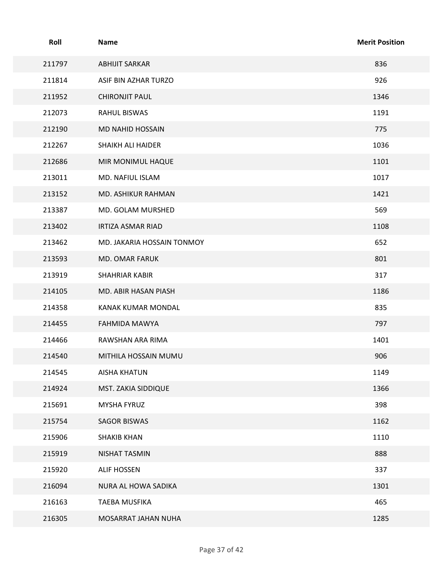| Roll   | Name                       | <b>Merit Position</b> |
|--------|----------------------------|-----------------------|
| 211797 | <b>ABHIJIT SARKAR</b>      | 836                   |
| 211814 | ASIF BIN AZHAR TURZO       | 926                   |
| 211952 | <b>CHIRONJIT PAUL</b>      | 1346                  |
| 212073 | RAHUL BISWAS               | 1191                  |
| 212190 | MD NAHID HOSSAIN           | 775                   |
| 212267 | SHAIKH ALI HAIDER          | 1036                  |
| 212686 | MIR MONIMUL HAQUE          | 1101                  |
| 213011 | MD. NAFIUL ISLAM           | 1017                  |
| 213152 | MD. ASHIKUR RAHMAN         | 1421                  |
| 213387 | MD. GOLAM MURSHED          | 569                   |
| 213402 | IRTIZA ASMAR RIAD          | 1108                  |
| 213462 | MD. JAKARIA HOSSAIN TONMOY | 652                   |
| 213593 | MD. OMAR FARUK             | 801                   |
| 213919 | SHAHRIAR KABIR             | 317                   |
| 214105 | MD. ABIR HASAN PIASH       | 1186                  |
| 214358 | KANAK KUMAR MONDAL         | 835                   |
| 214455 | FAHMIDA MAWYA              | 797                   |
| 214466 | RAWSHAN ARA RIMA           | 1401                  |
| 214540 | MITHILA HOSSAIN MUMU       | 906                   |
| 214545 | AISHA KHATUN               | 1149                  |
| 214924 | MST. ZAKIA SIDDIQUE        | 1366                  |
| 215691 | <b>MYSHA FYRUZ</b>         | 398                   |
| 215754 | <b>SAGOR BISWAS</b>        | 1162                  |
| 215906 | <b>SHAKIB KHAN</b>         | 1110                  |
| 215919 | NISHAT TASMIN              | 888                   |
| 215920 | ALIF HOSSEN                | 337                   |
| 216094 | NURA AL HOWA SADIKA        | 1301                  |
| 216163 | <b>TAEBA MUSFIKA</b>       | 465                   |
| 216305 | MOSARRAT JAHAN NUHA        | 1285                  |
|        | Page 37 of 42              |                       |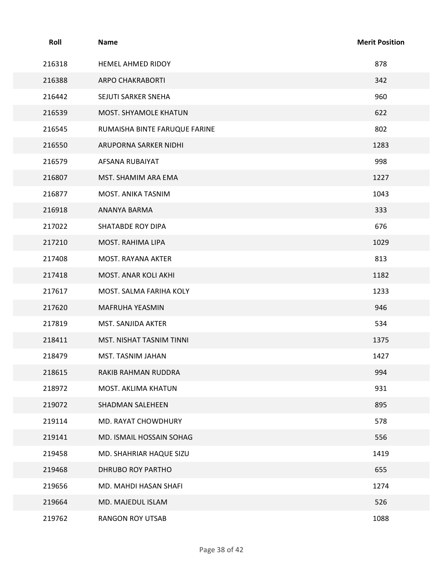| Roll   | Name                          | <b>Merit Position</b> |
|--------|-------------------------------|-----------------------|
| 216318 | HEMEL AHMED RIDOY             | 878                   |
| 216388 | <b>ARPO CHAKRABORTI</b>       | 342                   |
| 216442 | SEJUTI SARKER SNEHA           | 960                   |
| 216539 | MOST. SHYAMOLE KHATUN         | 622                   |
| 216545 | RUMAISHA BINTE FARUQUE FARINE | 802                   |
| 216550 | ARUPORNA SARKER NIDHI         | 1283                  |
| 216579 | AFSANA RUBAIYAT               | 998                   |
| 216807 | MST. SHAMIM ARA EMA           | 1227                  |
| 216877 | MOST. ANIKA TASNIM            | 1043                  |
| 216918 | ANANYA BARMA                  | 333                   |
| 217022 | <b>SHATABDE ROY DIPA</b>      | 676                   |
| 217210 | MOST. RAHIMA LIPA             | 1029                  |
| 217408 | MOST. RAYANA AKTER            | 813                   |
| 217418 | MOST. ANAR KOLI AKHI          | 1182                  |
| 217617 | MOST. SALMA FARIHA KOLY       | 1233                  |
| 217620 | MAFRUHA YEASMIN               | 946                   |
| 217819 | MST. SANJIDA AKTER            | 534                   |
| 218411 | MST. NISHAT TASNIM TINNI      | 1375                  |
| 218479 | MST. TASNIM JAHAN             | 1427                  |
| 218615 | RAKIB RAHMAN RUDDRA           | 994                   |
| 218972 | MOST. AKLIMA KHATUN           | 931                   |
| 219072 | SHADMAN SALEHEEN              | 895                   |
| 219114 | MD. RAYAT CHOWDHURY           | 578                   |
| 219141 | MD. ISMAIL HOSSAIN SOHAG      | 556                   |
| 219458 | MD. SHAHRIAR HAQUE SIZU       | 1419                  |
| 219468 | DHRUBO ROY PARTHO             | 655                   |
| 219656 | MD. MAHDI HASAN SHAFI         | 1274                  |
| 219664 | MD. MAJEDUL ISLAM             | 526                   |
| 219762 | RANGON ROY UTSAB              | 1088                  |
|        |                               |                       |
|        | Page 38 of 42                 |                       |
|        |                               |                       |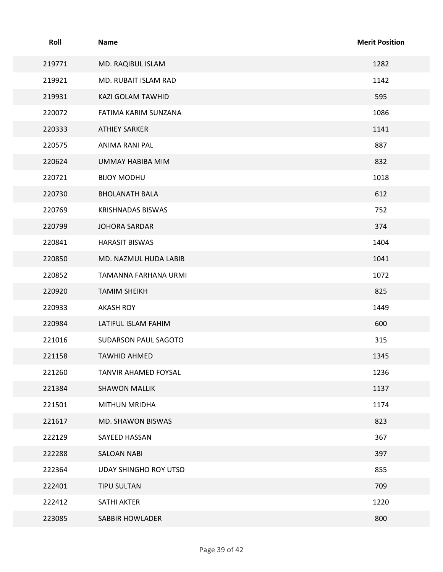| Roll   | Name                         | <b>Merit Position</b> |
|--------|------------------------------|-----------------------|
| 219771 | MD. RAQIBUL ISLAM            | 1282                  |
| 219921 | MD. RUBAIT ISLAM RAD         | 1142                  |
| 219931 | KAZI GOLAM TAWHID            | 595                   |
| 220072 | FATIMA KARIM SUNZANA         | 1086                  |
| 220333 | <b>ATHIEY SARKER</b>         | 1141                  |
| 220575 | ANIMA RANI PAL               | 887                   |
| 220624 | UMMAY HABIBA MIM             | 832                   |
| 220721 | <b>BIJOY MODHU</b>           | 1018                  |
| 220730 | <b>BHOLANATH BALA</b>        | 612                   |
| 220769 | <b>KRISHNADAS BISWAS</b>     | 752                   |
| 220799 | JOHORA SARDAR                | 374                   |
| 220841 | <b>HARASIT BISWAS</b>        | 1404                  |
| 220850 | MD. NAZMUL HUDA LABIB        | 1041                  |
| 220852 | TAMANNA FARHANA URMI         | 1072                  |
| 220920 | <b>TAMIM SHEIKH</b>          | 825                   |
| 220933 | <b>AKASH ROY</b>             | 1449                  |
| 220984 | LATIFUL ISLAM FAHIM          | 600                   |
| 221016 | SUDARSON PAUL SAGOTO         | 315                   |
| 221158 | TAWHID AHMED                 | 1345                  |
| 221260 | TANVIR AHAMED FOYSAL         | 1236                  |
| 221384 | <b>SHAWON MALLIK</b>         | 1137                  |
| 221501 | <b>MITHUN MRIDHA</b>         | 1174                  |
| 221617 | MD. SHAWON BISWAS            | 823                   |
| 222129 | SAYEED HASSAN                | 367                   |
| 222288 | <b>SALOAN NABI</b>           | 397                   |
| 222364 | <b>UDAY SHINGHO ROY UTSO</b> | 855                   |
| 222401 | TIPU SULTAN                  | 709                   |
| 222412 | SATHI AKTER                  | 1220                  |
| 223085 | SABBIR HOWLADER              | 800                   |
|        | Page 39 of 42                |                       |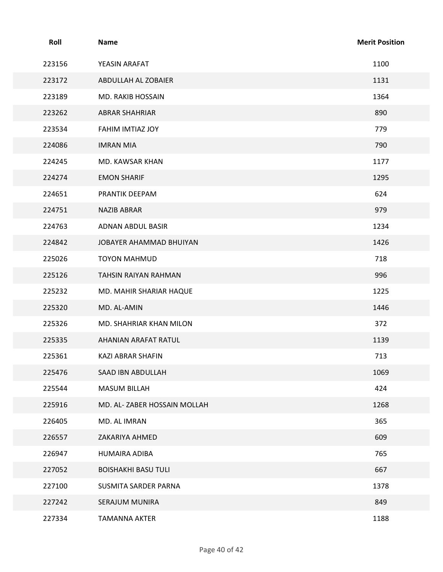| Roll   | <b>Name</b>                  | <b>Merit Position</b> |
|--------|------------------------------|-----------------------|
| 223156 | YEASIN ARAFAT                | 1100                  |
| 223172 | ABDULLAH AL ZOBAIER          | 1131                  |
| 223189 | MD. RAKIB HOSSAIN            | 1364                  |
| 223262 | <b>ABRAR SHAHRIAR</b>        | 890                   |
| 223534 | FAHIM IMTIAZ JOY             | 779                   |
| 224086 | <b>IMRAN MIA</b>             | 790                   |
| 224245 | MD. KAWSAR KHAN              | 1177                  |
| 224274 | <b>EMON SHARIF</b>           | 1295                  |
| 224651 | PRANTIK DEEPAM               | 624                   |
| 224751 | NAZIB ABRAR                  | 979                   |
| 224763 | ADNAN ABDUL BASIR            | 1234                  |
| 224842 | JOBAYER AHAMMAD BHUIYAN      | 1426                  |
| 225026 | TOYON MAHMUD                 | 718                   |
| 225126 | TAHSIN RAIYAN RAHMAN         | 996                   |
| 225232 | MD. MAHIR SHARIAR HAQUE      | 1225                  |
| 225320 | MD. AL-AMIN                  | 1446                  |
| 225326 | MD. SHAHRIAR KHAN MILON      | 372                   |
| 225335 | AHANIAN ARAFAT RATUL         | 1139                  |
| 225361 | KAZI ABRAR SHAFIN            | 713                   |
| 225476 | SAAD IBN ABDULLAH            | 1069                  |
| 225544 | MASUM BILLAH                 | 424                   |
| 225916 | MD. AL- ZABER HOSSAIN MOLLAH | 1268                  |
| 226405 | MD. AL IMRAN                 | 365                   |
| 226557 | ZAKARIYA AHMED               | 609                   |
| 226947 | HUMAIRA ADIBA                | 765                   |
| 227052 | <b>BOISHAKHI BASU TULI</b>   | 667                   |
| 227100 | SUSMITA SARDER PARNA         | 1378                  |
| 227242 | SERAJUM MUNIRA               | 849                   |
| 227334 | <b>TAMANNA AKTER</b>         | 1188                  |
|        | Page 40 of 42                |                       |
|        |                              |                       |
|        |                              |                       |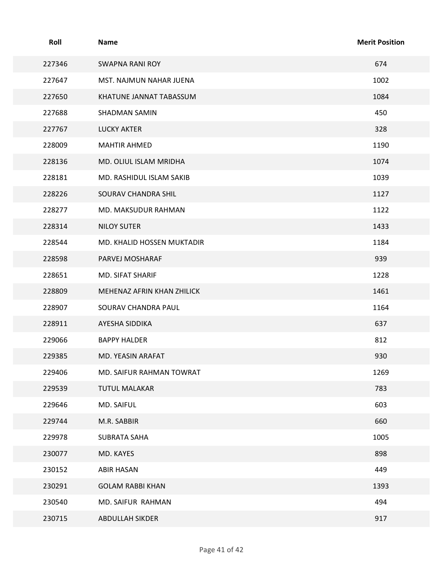| Roll   | Name                       | <b>Merit Position</b> |
|--------|----------------------------|-----------------------|
| 227346 | <b>SWAPNA RANI ROY</b>     | 674                   |
| 227647 | MST. NAJMUN NAHAR JUENA    | 1002                  |
| 227650 | KHATUNE JANNAT TABASSUM    | 1084                  |
| 227688 | SHADMAN SAMIN              | 450                   |
| 227767 | <b>LUCKY AKTER</b>         | 328                   |
| 228009 | <b>MAHTIR AHMED</b>        | 1190                  |
| 228136 | MD. OLIUL ISLAM MRIDHA     | 1074                  |
| 228181 | MD. RASHIDUL ISLAM SAKIB   | 1039                  |
| 228226 | SOURAV CHANDRA SHIL        | 1127                  |
| 228277 | MD. MAKSUDUR RAHMAN        | 1122                  |
| 228314 | <b>NILOY SUTER</b>         | 1433                  |
| 228544 | MD. KHALID HOSSEN MUKTADIR | 1184                  |
| 228598 | PARVEJ MOSHARAF            | 939                   |
| 228651 | MD. SIFAT SHARIF           | 1228                  |
| 228809 | MEHENAZ AFRIN KHAN ZHILICK | 1461                  |
| 228907 | SOURAV CHANDRA PAUL        | 1164                  |
| 228911 | AYESHA SIDDIKA             | 637                   |
| 229066 | <b>BAPPY HALDER</b>        | 812                   |
| 229385 | MD. YEASIN ARAFAT          | 930                   |
| 229406 | MD. SAIFUR RAHMAN TOWRAT   | 1269                  |
| 229539 | <b>TUTUL MALAKAR</b>       | 783                   |
| 229646 | MD. SAIFUL                 | 603                   |
| 229744 | M.R. SABBIR                | 660                   |
| 229978 | <b>SUBRATA SAHA</b>        | 1005                  |
| 230077 | MD. KAYES                  | 898                   |
| 230152 | ABIR HASAN                 | 449                   |
| 230291 | <b>GOLAM RABBI KHAN</b>    | 1393                  |
| 230540 | MD. SAIFUR RAHMAN          | 494                   |
| 230715 | ABDULLAH SIKDER            | 917                   |
|        | Page 41 of 42              |                       |